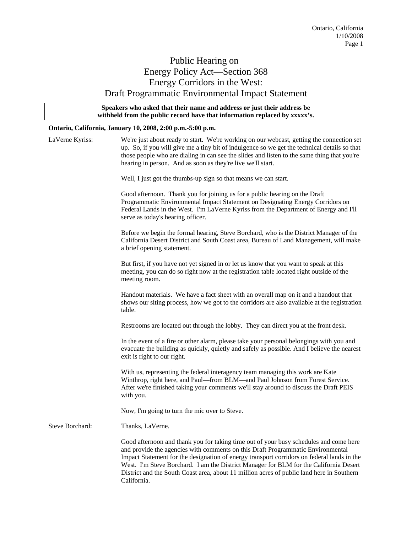## Public Hearing on Energy Policy Act—Section 368 Energy Corridors in the West: Draft Programmatic Environmental Impact Statement

### **Speakers who asked that their name and address or just their address be withheld from the public record have that information replaced by xxxxx's.**

### **Ontario, California, January 10, 2008, 2:00 p.m.-5:00 p.m.**

| LaVerne Kyriss: | We're just about ready to start. We're working on our webcast, getting the connection set<br>up. So, if you will give me a tiny bit of indulgence so we get the technical details so that<br>those people who are dialing in can see the slides and listen to the same thing that you're<br>hearing in person. And as soon as they're live we'll start.                                                                                                                     |
|-----------------|-----------------------------------------------------------------------------------------------------------------------------------------------------------------------------------------------------------------------------------------------------------------------------------------------------------------------------------------------------------------------------------------------------------------------------------------------------------------------------|
|                 | Well, I just got the thumbs-up sign so that means we can start.                                                                                                                                                                                                                                                                                                                                                                                                             |
|                 | Good afternoon. Thank you for joining us for a public hearing on the Draft<br>Programmatic Environmental Impact Statement on Designating Energy Corridors on<br>Federal Lands in the West. I'm LaVerne Kyriss from the Department of Energy and I'll<br>serve as today's hearing officer.                                                                                                                                                                                   |
|                 | Before we begin the formal hearing, Steve Borchard, who is the District Manager of the<br>California Desert District and South Coast area, Bureau of Land Management, will make<br>a brief opening statement.                                                                                                                                                                                                                                                               |
|                 | But first, if you have not yet signed in or let us know that you want to speak at this<br>meeting, you can do so right now at the registration table located right outside of the<br>meeting room.                                                                                                                                                                                                                                                                          |
|                 | Handout materials. We have a fact sheet with an overall map on it and a handout that<br>shows our siting process, how we got to the corridors are also available at the registration<br>table.                                                                                                                                                                                                                                                                              |
|                 | Restrooms are located out through the lobby. They can direct you at the front desk.                                                                                                                                                                                                                                                                                                                                                                                         |
|                 | In the event of a fire or other alarm, please take your personal belongings with you and<br>evacuate the building as quickly, quietly and safely as possible. And I believe the nearest<br>exit is right to our right.                                                                                                                                                                                                                                                      |
|                 | With us, representing the federal interagency team managing this work are Kate<br>Winthrop, right here, and Paul-from BLM-and Paul Johnson from Forest Service.<br>After we're finished taking your comments we'll stay around to discuss the Draft PEIS<br>with you.                                                                                                                                                                                                       |
|                 | Now, I'm going to turn the mic over to Steve.                                                                                                                                                                                                                                                                                                                                                                                                                               |
| Steve Borchard: | Thanks, LaVerne.                                                                                                                                                                                                                                                                                                                                                                                                                                                            |
|                 | Good afternoon and thank you for taking time out of your busy schedules and come here<br>and provide the agencies with comments on this Draft Programmatic Environmental<br>Impact Statement for the designation of energy transport corridors on federal lands in the<br>West. I'm Steve Borchard. I am the District Manager for BLM for the California Desert<br>District and the South Coast area, about 11 million acres of public land here in Southern<br>California. |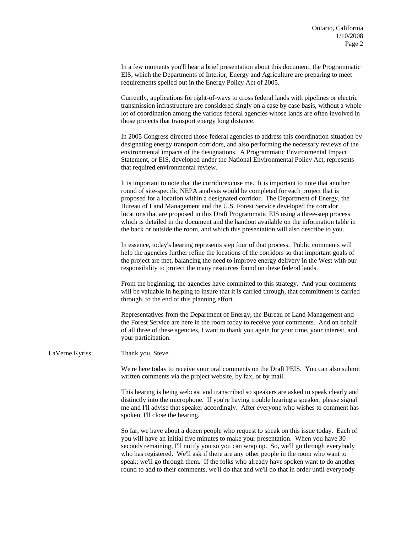In a few moments you'll hear a brief presentation about this document, the Programmatic EIS, which the Departments of Interior, Energy and Agriculture are preparing to meet requirements spelled out in the Energy Policy Act of 2005.

 Currently, applications for right-of-ways to cross federal lands with pipelines or electric transmission infrastructure are considered singly on a case by case basis, without a whole lot of coordination among the various federal agencies whose lands are often involved in those projects that transport energy long distance.

 In 2005 Congress directed those federal agencies to address this coordination situation by designating energy transport corridors, and also performing the necessary reviews of the environmental impacts of the designations. A Programmatic Environmental Impact Statement, or EIS, developed under the National Environmental Policy Act, represents that required environmental review.

 It is important to note that the corridorexcuse me. It is important to note that another round of site-specific NEPA analysis would be completed for each project that is proposed for a location within a designated corridor. The Department of Energy, the Bureau of Land Management and the U.S. Forest Service developed the corridor locations that are proposed in this Draft Programmatic EIS using a three-step process which is detailed in the document and the handout available on the information table in the back or outside the room, and which this presentation will also describe to you.

 In essence, today's hearing represents step four of that process. Public comments will help the agencies further refine the locations of the corridors so that important goals of the project are met, balancing the need to improve energy delivery in the West with our responsibility to protect the many resources found on these federal lands.

 From the beginning, the agencies have committed to this strategy. And your comments will be valuable in helping to insure that it is carried through, that commitment is carried through, to the end of this planning effort.

 Representatives from the Department of Energy, the Bureau of Land Management and the Forest Service are here in the room today to receive your comments. And on behalf of all three of these agencies, I want to thank you again for your time, your interest, and your participation.

LaVerne Kyriss: Thank you, Steve.

 We're here today to receive your oral comments on the Draft PEIS. You can also submit written comments via the project website, by fax, or by mail.

 This hearing is being webcast and transcribed so speakers are asked to speak clearly and distinctly into the microphone. If you're having trouble hearing a speaker, please signal me and I'll advise that speaker accordingly. After everyone who wishes to comment has spoken, I'll close the hearing.

So far, we have about a dozen people who request to speak on this issue today. Each of you will have an initial five minutes to make your presentation. When you have 30 seconds remaining, I'll notify you so you can wrap up. So, we'll go through everybody who has registered. We'll ask if there are any other people in the room who want to speak; we'll go through them. If the folks who already have spoken want to do another round to add to their comments, we'll do that and we'll do that in order until everybody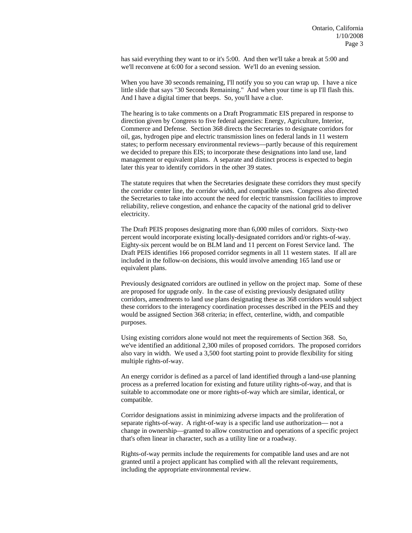has said everything they want to or it's 5:00. And then we'll take a break at 5:00 and we'll reconvene at 6:00 for a second session. We'll do an evening session.

When you have 30 seconds remaining, I'll notify you so you can wrap up. I have a nice little slide that says "30 Seconds Remaining." And when your time is up I'll flash this. And I have a digital timer that beeps. So, you'll have a clue.

 The hearing is to take comments on a Draft Programmatic EIS prepared in response to direction given by Congress to five federal agencies: Energy, Agriculture, Interior, Commerce and Defense. Section 368 directs the Secretaries to designate corridors for oil, gas, hydrogen pipe and electric transmission lines on federal lands in 11 western states; to perform necessary environmental reviews—partly because of this requirement we decided to prepare this EIS; to incorporate these designations into land use, land management or equivalent plans. A separate and distinct process is expected to begin later this year to identify corridors in the other 39 states.

 The statute requires that when the Secretaries designate these corridors they must specify the corridor center line, the corridor width, and compatible uses. Congress also directed the Secretaries to take into account the need for electric transmission facilities to improve reliability, relieve congestion, and enhance the capacity of the national grid to deliver electricity.

 The Draft PEIS proposes designating more than 6,000 miles of corridors. Sixty-two percent would incorporate existing locally-designated corridors and/or rights-of-way. Eighty-six percent would be on BLM land and 11 percent on Forest Service land. The Draft PEIS identifies 166 proposed corridor segments in all 11 western states. If all are included in the follow-on decisions, this would involve amending 165 land use or equivalent plans.

 Previously designated corridors are outlined in yellow on the project map. Some of these are proposed for upgrade only. In the case of existing previously designated utility corridors, amendments to land use plans designating these as 368 corridors would subject these corridors to the interagency coordination processes described in the PEIS and they would be assigned Section 368 criteria; in effect, centerline, width, and compatible purposes.

 Using existing corridors alone would not meet the requirements of Section 368. So, we've identified an additional 2,300 miles of proposed corridors. The proposed corridors also vary in width. We used a 3,500 foot starting point to provide flexibility for siting multiple rights-of-way.

 An energy corridor is defined as a parcel of land identified through a land-use planning process as a preferred location for existing and future utility rights-of-way, and that is suitable to accommodate one or more rights-of-way which are similar, identical, or compatible.

 Corridor designations assist in minimizing adverse impacts and the proliferation of separate rights-of-way. A right-of-way is a specific land use authorization— not a change in ownership—granted to allow construction and operations of a specific project that's often linear in character, such as a utility line or a roadway.

 Rights-of-way permits include the requirements for compatible land uses and are not granted until a project applicant has complied with all the relevant requirements, including the appropriate environmental review.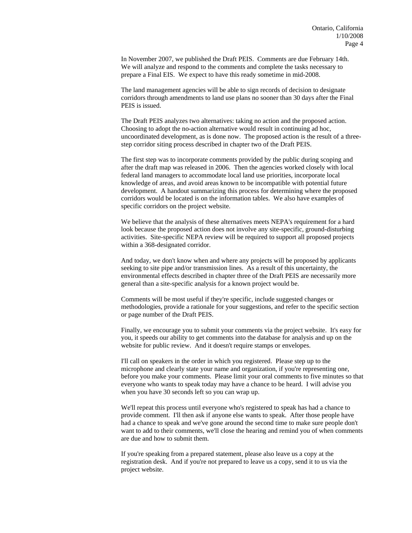In November 2007, we published the Draft PEIS. Comments are due February 14th. We will analyze and respond to the comments and complete the tasks necessary to prepare a Final EIS. We expect to have this ready sometime in mid-2008.

 The land management agencies will be able to sign records of decision to designate corridors through amendments to land use plans no sooner than 30 days after the Final PEIS is issued.

 The Draft PEIS analyzes two alternatives: taking no action and the proposed action. Choosing to adopt the no-action alternative would result in continuing ad hoc, uncoordinated development, as is done now. The proposed action is the result of a threestep corridor siting process described in chapter two of the Draft PEIS.

 The first step was to incorporate comments provided by the public during scoping and after the draft map was released in 2006. Then the agencies worked closely with local federal land managers to accommodate local land use priorities, incorporate local knowledge of areas, and avoid areas known to be incompatible with potential future development. A handout summarizing this process for determining where the proposed corridors would be located is on the information tables. We also have examples of specific corridors on the project website.

 We believe that the analysis of these alternatives meets NEPA's requirement for a hard look because the proposed action does not involve any site-specific, ground-disturbing activities. Site-specific NEPA review will be required to support all proposed projects within a 368-designated corridor.

And today, we don't know when and where any projects will be proposed by applicants seeking to site pipe and/or transmission lines. As a result of this uncertainty, the environmental effects described in chapter three of the Draft PEIS are necessarily more general than a site-specific analysis for a known project would be.

Comments will be most useful if they're specific, include suggested changes or methodologies, provide a rationale for your suggestions, and refer to the specific section or page number of the Draft PEIS.

Finally, we encourage you to submit your comments via the project website. It's easy for you, it speeds our ability to get comments into the database for analysis and up on the website for public review. And it doesn't require stamps or envelopes.

I'll call on speakers in the order in which you registered. Please step up to the microphone and clearly state your name and organization, if you're representing one, before you make your comments. Please limit your oral comments to five minutes so that everyone who wants to speak today may have a chance to be heard. I will advise you when you have 30 seconds left so you can wrap up.

We'll repeat this process until everyone who's registered to speak has had a chance to provide comment. I'll then ask if anyone else wants to speak. After those people have had a chance to speak and we've gone around the second time to make sure people don't want to add to their comments, we'll close the hearing and remind you of when comments are due and how to submit them.

If you're speaking from a prepared statement, please also leave us a copy at the registration desk. And if you're not prepared to leave us a copy, send it to us via the project website.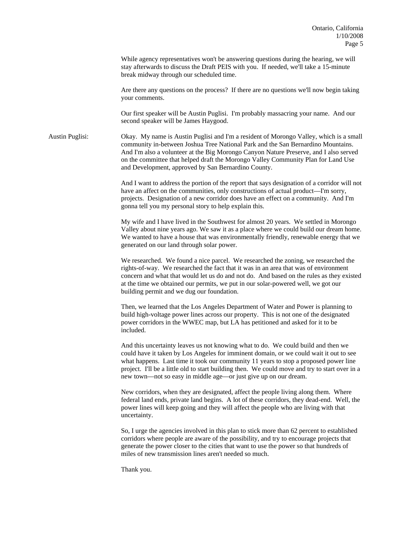While agency representatives won't be answering questions during the hearing, we will stay afterwards to discuss the Draft PEIS with you. If needed, we'll take a 15-minute break midway through our scheduled time.

 Are there any questions on the process? If there are no questions we'll now begin taking your comments.

 Our first speaker will be Austin Puglisi. I'm probably massacring your name. And our second speaker will be James Haygood.

Austin Puglisi: Okay. My name is Austin Puglisi and I'm a resident of Morongo Valley, which is a small community in-between Joshua Tree National Park and the San Bernardino Mountains. And I'm also a volunteer at the Big Morongo Canyon Nature Preserve, and I also served on the committee that helped draft the Morongo Valley Community Plan for Land Use and Development, approved by San Bernardino County.

> And I want to address the portion of the report that says designation of a corridor will not have an affect on the communities, only constructions of actual product—I'm sorry, projects. Designation of a new corridor does have an effect on a community. And I'm gonna tell you my personal story to help explain this.

> My wife and I have lived in the Southwest for almost 20 years. We settled in Morongo Valley about nine years ago. We saw it as a place where we could build our dream home. We wanted to have a house that was environmentally friendly, renewable energy that we generated on our land through solar power.

> We researched. We found a nice parcel. We researched the zoning, we researched the rights-of-way. We researched the fact that it was in an area that was of environment concern and what that would let us do and not do. And based on the rules as they existed at the time we obtained our permits, we put in our solar-powered well, we got our building permit and we dug our foundation.

Then, we learned that the Los Angeles Department of Water and Power is planning to build high-voltage power lines across our property. This is not one of the designated power corridors in the WWEC map, but LA has petitioned and asked for it to be included.

And this uncertainty leaves us not knowing what to do. We could build and then we could have it taken by Los Angeles for imminent domain, or we could wait it out to see what happens. Last time it took our community 11 years to stop a proposed power line project. I'll be a little old to start building then. We could move and try to start over in a new town—not so easy in middle age—or just give up on our dream.

New corridors, when they are designated, affect the people living along them. Where federal land ends, private land begins. A lot of these corridors, they dead-end. Well, the power lines will keep going and they will affect the people who are living with that uncertainty.

So, I urge the agencies involved in this plan to stick more than 62 percent to established corridors where people are aware of the possibility, and try to encourage projects that generate the power closer to the cities that want to use the power so that hundreds of miles of new transmission lines aren't needed so much.

Thank you.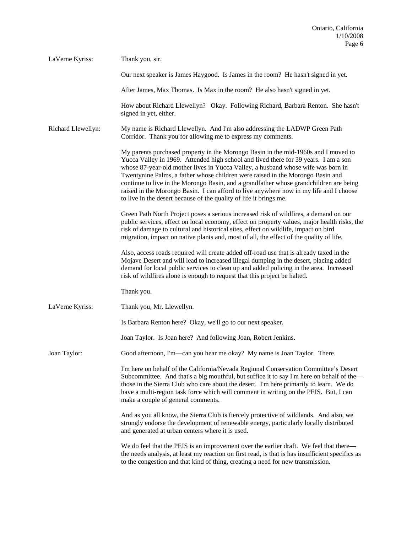| LaVerne Kyriss:    | Thank you, sir.                                                                                                                                                                                                                                                                                                                                                                                                                                                                                                                                                                                           |
|--------------------|-----------------------------------------------------------------------------------------------------------------------------------------------------------------------------------------------------------------------------------------------------------------------------------------------------------------------------------------------------------------------------------------------------------------------------------------------------------------------------------------------------------------------------------------------------------------------------------------------------------|
|                    | Our next speaker is James Haygood. Is James in the room? He hasn't signed in yet.                                                                                                                                                                                                                                                                                                                                                                                                                                                                                                                         |
|                    | After James, Max Thomas. Is Max in the room? He also hasn't signed in yet.                                                                                                                                                                                                                                                                                                                                                                                                                                                                                                                                |
|                    | How about Richard Llewellyn? Okay. Following Richard, Barbara Renton. She hasn't<br>signed in yet, either.                                                                                                                                                                                                                                                                                                                                                                                                                                                                                                |
| Richard Llewellyn: | My name is Richard Llewellyn. And I'm also addressing the LADWP Green Path<br>Corridor. Thank you for allowing me to express my comments.                                                                                                                                                                                                                                                                                                                                                                                                                                                                 |
|                    | My parents purchased property in the Morongo Basin in the mid-1960s and I moved to<br>Yucca Valley in 1969. Attended high school and lived there for 39 years. I am a son<br>whose 87-year-old mother lives in Yucca Valley, a husband whose wife was born in<br>Twentynine Palms, a father whose children were raised in the Morongo Basin and<br>continue to live in the Morongo Basin, and a grandfather whose grandchildren are being<br>raised in the Morongo Basin. I can afford to live anywhere now in my life and I choose<br>to live in the desert because of the quality of life it brings me. |
|                    | Green Path North Project poses a serious increased risk of wildfires, a demand on our<br>public services, effect on local economy, effect on property values, major health risks, the<br>risk of damage to cultural and historical sites, effect on wildlife, impact on bird<br>migration, impact on native plants and, most of all, the effect of the quality of life.                                                                                                                                                                                                                                   |
|                    | Also, access roads required will create added off-road use that is already taxed in the<br>Mojave Desert and will lead to increased illegal dumping in the desert, placing added<br>demand for local public services to clean up and added policing in the area. Increased<br>risk of wildfires alone is enough to request that this project be halted.                                                                                                                                                                                                                                                   |
|                    | Thank you.                                                                                                                                                                                                                                                                                                                                                                                                                                                                                                                                                                                                |
| LaVerne Kyriss:    | Thank you, Mr. Llewellyn.                                                                                                                                                                                                                                                                                                                                                                                                                                                                                                                                                                                 |
|                    | Is Barbara Renton here? Okay, we'll go to our next speaker.                                                                                                                                                                                                                                                                                                                                                                                                                                                                                                                                               |
|                    | Joan Taylor. Is Joan here? And following Joan, Robert Jenkins.                                                                                                                                                                                                                                                                                                                                                                                                                                                                                                                                            |
| Joan Taylor:       | Good afternoon, I'm—can you hear me okay? My name is Joan Taylor. There.                                                                                                                                                                                                                                                                                                                                                                                                                                                                                                                                  |
|                    | I'm here on behalf of the California/Nevada Regional Conservation Committee's Desert<br>Subcommittee. And that's a big mouthful, but suffice it to say I'm here on behalf of the-<br>those in the Sierra Club who care about the desert. I'm here primarily to learn. We do<br>have a multi-region task force which will comment in writing on the PEIS. But, I can<br>make a couple of general comments.                                                                                                                                                                                                 |
|                    | And as you all know, the Sierra Club is fiercely protective of wildlands. And also, we<br>strongly endorse the development of renewable energy, particularly locally distributed<br>and generated at urban centers where it is used.                                                                                                                                                                                                                                                                                                                                                                      |
|                    | We do feel that the PEIS is an improvement over the earlier draft. We feel that there—<br>the needs analysis, at least my reaction on first read, is that is has insufficient specifics as<br>to the congestion and that kind of thing, creating a need for new transmission.                                                                                                                                                                                                                                                                                                                             |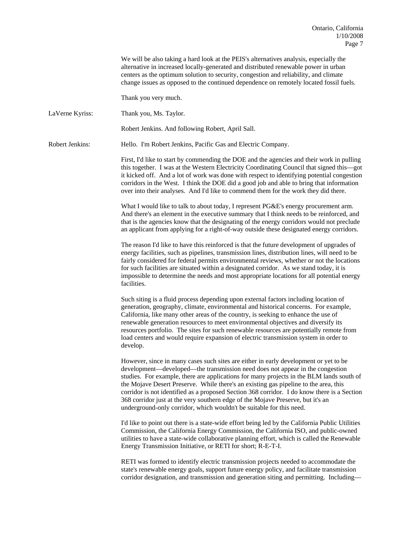We will be also taking a hard look at the PEIS's alternatives analysis, especially the alternative in increased locally-generated and distributed renewable power in urban centers as the optimum solution to security, congestion and reliability, and climate change issues as opposed to the continued dependence on remotely located fossil fuels.

Thank you very much.

LaVerne Kyriss: Thank you, Ms. Taylor.

Robert Jenkins. And following Robert, April Sall.

Robert Jenkins: Hello. I'm Robert Jenkins, Pacific Gas and Electric Company.

 First, I'd like to start by commending the DOE and the agencies and their work in pulling this together. I was at the Western Electricity Coordinating Council that signed this—got it kicked off. And a lot of work was done with respect to identifying potential congestion corridors in the West. I think the DOE did a good job and able to bring that information over into their analyses. And I'd like to commend them for the work they did there.

What I would like to talk to about today, I represent PG&E's energy procurement arm. And there's an element in the executive summary that I think needs to be reinforced, and that is the agencies know that the designating of the energy corridors would not preclude an applicant from applying for a right-of-way outside these designated energy corridors.

 The reason I'd like to have this reinforced is that the future development of upgrades of energy facilities, such as pipelines, transmission lines, distribution lines, will need to be fairly considered for federal permits environmental reviews, whether or not the locations for such facilities are situated within a designated corridor. As we stand today, it is impossible to determine the needs and most appropriate locations for all potential energy facilities.

Such siting is a fluid process depending upon external factors including location of generation, geography, climate, environmental and historical concerns. For example, California, like many other areas of the country, is seeking to enhance the use of renewable generation resources to meet environmental objectives and diversify its resources portfolio. The sites for such renewable resources are potentially remote from load centers and would require expansion of electric transmission system in order to develop.

However, since in many cases such sites are either in early development or yet to be development—developed—the transmission need does not appear in the congestion studies. For example, there are applications for many projects in the BLM lands south of the Mojave Desert Preserve. While there's an existing gas pipeline to the area, this corridor is not identified as a proposed Section 368 corridor. I do know there is a Section 368 corridor just at the very southern edge of the Mojave Preserve, but it's an underground-only corridor, which wouldn't be suitable for this need.

I'd like to point out there is a state-wide effort being led by the California Public Utilities Commission, the California Energy Commission, the California ISO, and public-owned utilities to have a state-wide collaborative planning effort, which is called the Renewable Energy Transmission Initiative, or RETI for short; R-E-T-I.

RETI was formed to identify electric transmission projects needed to accommodate the state's renewable energy goals, support future energy policy, and facilitate transmission corridor designation, and transmission and generation siting and permitting. Including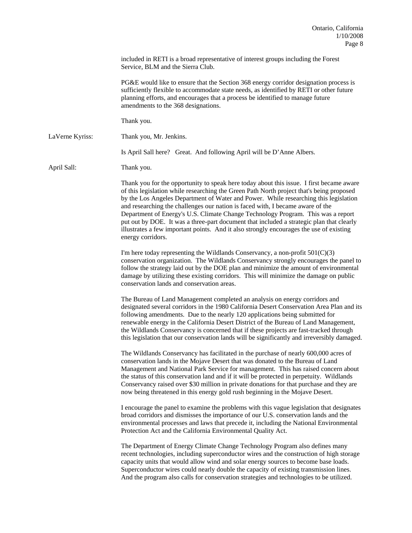included in RETI is a broad representative of interest groups including the Forest Service, BLM and the Sierra Club.

 PG&E would like to ensure that the Section 368 energy corridor designation process is sufficiently flexible to accommodate state needs, as identified by RETI or other future planning efforts, and encourages that a process be identified to manage future amendments to the 368 designations.

Thank you.

LaVerne Kyriss: Thank you, Mr. Jenkins.

Is April Sall here? Great. And following April will be D'Anne Albers.

April Sall: Thank you.

 Thank you for the opportunity to speak here today about this issue. I first became aware of this legislation while researching the Green Path North project that's being proposed by the Los Angeles Department of Water and Power. While researching this legislation and researching the challenges our nation is faced with, I became aware of the Department of Energy's U.S. Climate Change Technology Program. This was a report put out by DOE. It was a three-part document that included a strategic plan that clearly illustrates a few important points. And it also strongly encourages the use of existing energy corridors.

I'm here today representing the Wildlands Conservancy, a non-profit  $501(C)(3)$ conservation organization. The Wildlands Conservancy strongly encourages the panel to follow the strategy laid out by the DOE plan and minimize the amount of environmental damage by utilizing these existing corridors. This will minimize the damage on public conservation lands and conservation areas.

 The Bureau of Land Management completed an analysis on energy corridors and designated several corridors in the 1980 California Desert Conservation Area Plan and its following amendments. Due to the nearly 120 applications being submitted for renewable energy in the California Desert District of the Bureau of Land Management, the Wildlands Conservancy is concerned that if these projects are fast-tracked through this legislation that our conservation lands will be significantly and irreversibly damaged.

 The Wildlands Conservancy has facilitated in the purchase of nearly 600,000 acres of conservation lands in the Mojave Desert that was donated to the Bureau of Land Management and National Park Service for management. This has raised concern about the status of this conservation land and if it will be protected in perpetuity. Wildlands Conservancy raised over \$30 million in private donations for that purchase and they are now being threatened in this energy gold rush beginning in the Mojave Desert.

 I encourage the panel to examine the problems with this vague legislation that designates broad corridors and dismisses the importance of our U.S. conservation lands and the environmental processes and laws that precede it, including the National Environmental Protection Act and the California Environmental Quality Act.

 The Department of Energy Climate Change Technology Program also defines many recent technologies, including superconductor wires and the construction of high storage capacity units that would allow wind and solar energy sources to become base loads. Superconductor wires could nearly double the capacity of existing transmission lines. And the program also calls for conservation strategies and technologies to be utilized.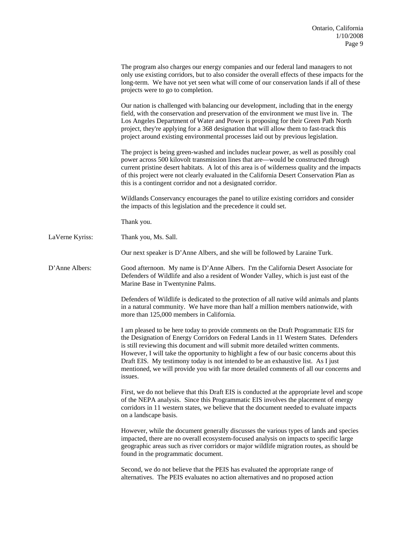|                 | The program also charges our energy companies and our federal land managers to not<br>only use existing corridors, but to also consider the overall effects of these impacts for the<br>long-term. We have not yet seen what will come of our conservation lands if all of these<br>projects were to go to completion.                                                                                                                                                                                                                                |
|-----------------|-------------------------------------------------------------------------------------------------------------------------------------------------------------------------------------------------------------------------------------------------------------------------------------------------------------------------------------------------------------------------------------------------------------------------------------------------------------------------------------------------------------------------------------------------------|
|                 | Our nation is challenged with balancing our development, including that in the energy<br>field, with the conservation and preservation of the environment we must live in. The<br>Los Angeles Department of Water and Power is proposing for their Green Path North<br>project, they're applying for a 368 designation that will allow them to fast-track this<br>project around existing environmental processes laid out by previous legislation.                                                                                                   |
|                 | The project is being green-washed and includes nuclear power, as well as possibly coal<br>power across 500 kilovolt transmission lines that are—would be constructed through<br>current pristine desert habitats. A lot of this area is of wilderness quality and the impacts<br>of this project were not clearly evaluated in the California Desert Conservation Plan as<br>this is a contingent corridor and not a designated corridor.                                                                                                             |
|                 | Wildlands Conservancy encourages the panel to utilize existing corridors and consider<br>the impacts of this legislation and the precedence it could set.                                                                                                                                                                                                                                                                                                                                                                                             |
|                 | Thank you.                                                                                                                                                                                                                                                                                                                                                                                                                                                                                                                                            |
| LaVerne Kyriss: | Thank you, Ms. Sall.                                                                                                                                                                                                                                                                                                                                                                                                                                                                                                                                  |
|                 | Our next speaker is D'Anne Albers, and she will be followed by Laraine Turk.                                                                                                                                                                                                                                                                                                                                                                                                                                                                          |
| D'Anne Albers:  | Good afternoon. My name is D'Anne Albers. I'm the California Desert Associate for<br>Defenders of Wildlife and also a resident of Wonder Valley, which is just east of the<br>Marine Base in Twentynine Palms.                                                                                                                                                                                                                                                                                                                                        |
|                 | Defenders of Wildlife is dedicated to the protection of all native wild animals and plants<br>in a natural community. We have more than half a million members nationwide, with<br>more than 125,000 members in California.                                                                                                                                                                                                                                                                                                                           |
|                 | I am pleased to be here today to provide comments on the Draft Programmatic EIS for<br>the Designation of Energy Corridors on Federal Lands in 11 Western States. Defenders<br>is still reviewing this document and will submit more detailed written comments.<br>However, I will take the opportunity to highlight a few of our basic concerns about this<br>Draft EIS. My testimony today is not intended to be an exhaustive list. As I just<br>mentioned, we will provide you with far more detailed comments of all our concerns and<br>issues. |
|                 | First, we do not believe that this Draft EIS is conducted at the appropriate level and scope<br>of the NEPA analysis. Since this Programmatic EIS involves the placement of energy<br>corridors in 11 western states, we believe that the document needed to evaluate impacts<br>on a landscape basis.                                                                                                                                                                                                                                                |
|                 | However, while the document generally discusses the various types of lands and species<br>impacted, there are no overall ecosystem-focused analysis on impacts to specific large<br>geographic areas such as river corridors or major wildlife migration routes, as should be<br>found in the programmatic document.                                                                                                                                                                                                                                  |
|                 | Second, we do not believe that the PEIS has evaluated the appropriate range of<br>alternatives. The PEIS evaluates no action alternatives and no proposed action                                                                                                                                                                                                                                                                                                                                                                                      |
|                 |                                                                                                                                                                                                                                                                                                                                                                                                                                                                                                                                                       |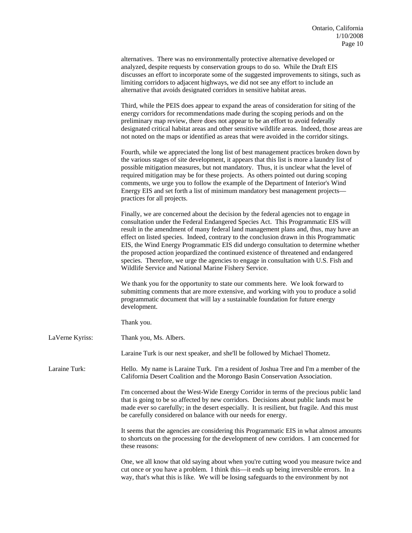|                 | alternatives. There was no environmentally protective alternative developed or<br>analyzed, despite requests by conservation groups to do so. While the Draft EIS<br>discusses an effort to incorporate some of the suggested improvements to sitings, such as<br>limiting corridors to adjacent highways, we did not see any effort to include an<br>alternative that avoids designated corridors in sensitive habitat areas.                                                                                                                                                                                                                                                                 |
|-----------------|------------------------------------------------------------------------------------------------------------------------------------------------------------------------------------------------------------------------------------------------------------------------------------------------------------------------------------------------------------------------------------------------------------------------------------------------------------------------------------------------------------------------------------------------------------------------------------------------------------------------------------------------------------------------------------------------|
|                 | Third, while the PEIS does appear to expand the areas of consideration for siting of the<br>energy corridors for recommendations made during the scoping periods and on the<br>preliminary map review, there does not appear to be an effort to avoid federally<br>designated critical habitat areas and other sensitive wildlife areas. Indeed, those areas are<br>not noted on the maps or identified as areas that were avoided in the corridor sitings.                                                                                                                                                                                                                                    |
|                 | Fourth, while we appreciated the long list of best management practices broken down by<br>the various stages of site development, it appears that this list is more a laundry list of<br>possible mitigation measures, but not mandatory. Thus, it is unclear what the level of<br>required mitigation may be for these projects. As others pointed out during scoping<br>comments, we urge you to follow the example of the Department of Interior's Wind<br>Energy EIS and set forth a list of minimum mandatory best management projects-<br>practices for all projects.                                                                                                                    |
|                 | Finally, we are concerned about the decision by the federal agencies not to engage in<br>consultation under the Federal Endangered Species Act. This Programmatic EIS will<br>result in the amendment of many federal land management plans and, thus, may have an<br>effect on listed species. Indeed, contrary to the conclusion drawn in this Programmatic<br>EIS, the Wind Energy Programmatic EIS did undergo consultation to determine whether<br>the proposed action jeopardized the continued existence of threatened and endangered<br>species. Therefore, we urge the agencies to engage in consultation with U.S. Fish and<br>Wildlife Service and National Marine Fishery Service. |
|                 | We thank you for the opportunity to state our comments here. We look forward to<br>submitting comments that are more extensive, and working with you to produce a solid<br>programmatic document that will lay a sustainable foundation for future energy<br>development.                                                                                                                                                                                                                                                                                                                                                                                                                      |
|                 | Thank you.                                                                                                                                                                                                                                                                                                                                                                                                                                                                                                                                                                                                                                                                                     |
| LaVerne Kyriss: | Thank you, Ms. Albers.                                                                                                                                                                                                                                                                                                                                                                                                                                                                                                                                                                                                                                                                         |
|                 | Laraine Turk is our next speaker, and she'll be followed by Michael Thometz.                                                                                                                                                                                                                                                                                                                                                                                                                                                                                                                                                                                                                   |
| Laraine Turk:   | Hello. My name is Laraine Turk. I'm a resident of Joshua Tree and I'm a member of the<br>California Desert Coalition and the Morongo Basin Conservation Association.                                                                                                                                                                                                                                                                                                                                                                                                                                                                                                                           |
|                 | I'm concerned about the West-Wide Energy Corridor in terms of the precious public land<br>that is going to be so affected by new corridors. Decisions about public lands must be<br>made ever so carefully; in the desert especially. It is resilient, but fragile. And this must<br>be carefully considered on balance with our needs for energy.                                                                                                                                                                                                                                                                                                                                             |
|                 | It seems that the agencies are considering this Programmatic EIS in what almost amounts<br>to shortcuts on the processing for the development of new corridors. I am concerned for<br>these reasons:                                                                                                                                                                                                                                                                                                                                                                                                                                                                                           |
|                 | One, we all know that old saying about when you're cutting wood you measure twice and<br>cut once or you have a problem. I think this—it ends up being irreversible errors. In a<br>way, that's what this is like. We will be losing safeguards to the environment by not                                                                                                                                                                                                                                                                                                                                                                                                                      |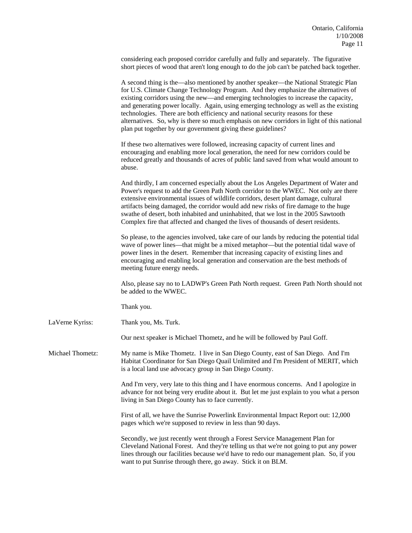| considering each proposed corridor carefully and fully and separately. The figurative      |  |
|--------------------------------------------------------------------------------------------|--|
| short pieces of wood that aren't long enough to do the job can't be patched back together. |  |

|                  | A second thing is the—also mentioned by another speaker—the National Strategic Plan<br>for U.S. Climate Change Technology Program. And they emphasize the alternatives of<br>existing corridors using the new—and emerging technologies to increase the capacity,<br>and generating power locally. Again, using emerging technology as well as the existing<br>technologies. There are both efficiency and national security reasons for these<br>alternatives. So, why is there so much emphasis on new corridors in light of this national<br>plan put together by our government giving these guidelines? |
|------------------|--------------------------------------------------------------------------------------------------------------------------------------------------------------------------------------------------------------------------------------------------------------------------------------------------------------------------------------------------------------------------------------------------------------------------------------------------------------------------------------------------------------------------------------------------------------------------------------------------------------|
|                  | If these two alternatives were followed, increasing capacity of current lines and<br>encouraging and enabling more local generation, the need for new corridors could be<br>reduced greatly and thousands of acres of public land saved from what would amount to<br>abuse.                                                                                                                                                                                                                                                                                                                                  |
|                  | And thirdly, I am concerned especially about the Los Angeles Department of Water and<br>Power's request to add the Green Path North corridor to the WWEC. Not only are there<br>extensive environmental issues of wildlife corridors, desert plant damage, cultural<br>artifacts being damaged, the corridor would add new risks of fire damage to the huge<br>swathe of desert, both inhabited and uninhabited, that we lost in the 2005 Sawtooth<br>Complex fire that affected and changed the lives of thousands of desert residents.                                                                     |
|                  | So please, to the agencies involved, take care of our lands by reducing the potential tidal<br>wave of power lines—that might be a mixed metaphor—but the potential tidal wave of<br>power lines in the desert. Remember that increasing capacity of existing lines and<br>encouraging and enabling local generation and conservation are the best methods of<br>meeting future energy needs.                                                                                                                                                                                                                |
|                  | Also, please say no to LADWP's Green Path North request. Green Path North should not<br>be added to the WWEC.                                                                                                                                                                                                                                                                                                                                                                                                                                                                                                |
|                  | Thank you.                                                                                                                                                                                                                                                                                                                                                                                                                                                                                                                                                                                                   |
| LaVerne Kyriss:  | Thank you, Ms. Turk.                                                                                                                                                                                                                                                                                                                                                                                                                                                                                                                                                                                         |
|                  | Our next speaker is Michael Thometz, and he will be followed by Paul Goff.                                                                                                                                                                                                                                                                                                                                                                                                                                                                                                                                   |
| Michael Thometz: | My name is Mike Thometz. I live in San Diego County, east of San Diego. And I'm<br>Habitat Coordinator for San Diego Quail Unlimited and I'm President of MERIT, which<br>is a local land use advocacy group in San Diego County.                                                                                                                                                                                                                                                                                                                                                                            |
|                  | And I'm very, very late to this thing and I have enormous concerns. And I apologize in<br>advance for not being very erudite about it. But let me just explain to you what a person<br>living in San Diego County has to face currently.                                                                                                                                                                                                                                                                                                                                                                     |
|                  | First of all, we have the Sunrise Powerlink Environmental Impact Report out: 12,000<br>pages which we're supposed to review in less than 90 days.                                                                                                                                                                                                                                                                                                                                                                                                                                                            |
|                  | Secondly, we just recently went through a Forest Service Management Plan for<br>Cleveland National Forest. And they're telling us that we're not going to put any power                                                                                                                                                                                                                                                                                                                                                                                                                                      |

lines through our facilities because we'd have to redo our management plan. So, if you

want to put Sunrise through there, go away. Stick it on BLM.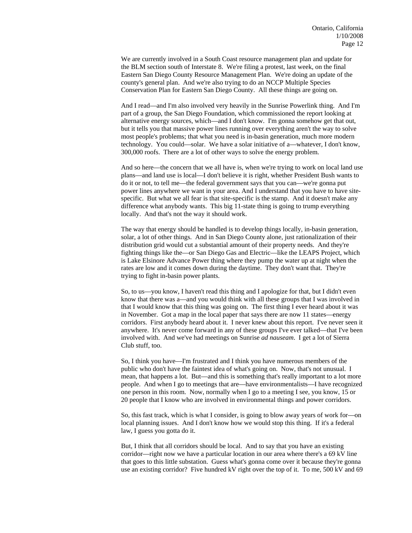We are currently involved in a South Coast resource management plan and update for the BLM section south of Interstate 8. We're filing a protest, last week, on the final Eastern San Diego County Resource Management Plan. We're doing an update of the county's general plan. And we're also trying to do an NCCP Multiple Species Conservation Plan for Eastern San Diego County. All these things are going on.

 And I read—and I'm also involved very heavily in the Sunrise Powerlink thing. And I'm part of a group, the San Diego Foundation, which commissioned the report looking at alternative energy sources, which—and I don't know. I'm gonna somehow get that out, but it tells you that massive power lines running over everything aren't the way to solve most people's problems; that what you need is in-basin generation, much more modern technology. You could—solar. We have a solar initiative of a—whatever, I don't know, 300,000 roofs. There are a lot of other ways to solve the energy problem.

 And so here—the concern that we all have is, when we're trying to work on local land use plans—and land use is local—I don't believe it is right, whether President Bush wants to do it or not, to tell me—the federal government says that you can—we're gonna put power lines anywhere we want in your area. And I understand that you have to have sitespecific. But what we all fear is that site-specific is the stamp. And it doesn't make any difference what anybody wants. This big 11-state thing is going to trump everything locally. And that's not the way it should work.

 The way that energy should be handled is to develop things locally, in-basin generation, solar, a lot of other things. And in San Diego County alone, just rationalization of their distribution grid would cut a substantial amount of their property needs. And they're fighting things like the—or San Diego Gas and Electric—like the LEAPS Project, which is Lake Elsinore Advance Power thing where they pump the water up at night when the rates are low and it comes down during the daytime. They don't want that. They're trying to fight in-basin power plants.

 So, to us—you know, I haven't read this thing and I apologize for that, but I didn't even know that there was a—and you would think with all these groups that I was involved in that I would know that this thing was going on. The first thing I ever heard about it was in November. Got a map in the local paper that says there are now 11 states—energy corridors. First anybody heard about it. I never knew about this report. I've never seen it anywhere. It's never come forward in any of these groups I've ever talked—that I've been involved with. And we've had meetings on Sunrise *ad nauseam*. I get a lot of Sierra Club stuff, too.

So, I think you have—I'm frustrated and I think you have numerous members of the public who don't have the faintest idea of what's going on. Now, that's not unusual. I mean, that happens a lot. But—and this is something that's really important to a lot more people. And when I go to meetings that are—have environmentalists—I have recognized one person in this room. Now, normally when I go to a meeting I see, you know, 15 or 20 people that I know who are involved in environmental things and power corridors.

So, this fast track, which is what I consider, is going to blow away years of work for—on local planning issues. And I don't know how we would stop this thing. If it's a federal law, I guess you gotta do it.

But, I think that all corridors should be local. And to say that you have an existing corridor—right now we have a particular location in our area where there's a 69 kV line that goes to this little substation. Guess what's gonna come over it because they're gonna use an existing corridor? Five hundred kV right over the top of it. To me, 500 kV and 69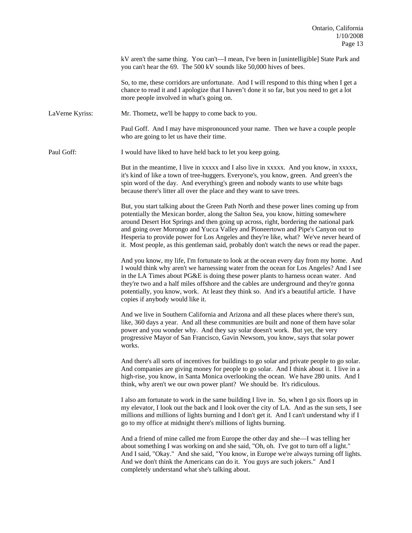kV aren't the same thing. You can't—I mean, I've been in [unintelligible] State Park and you can't hear the 69. The 500 kV sounds like 50,000 hives of bees.

 So, to me, these corridors are unfortunate. And I will respond to this thing when I get a chance to read it and I apologize that I haven't done it so far, but you need to get a lot more people involved in what's going on.

LaVerne Kyriss: Mr. Thometz, we'll be happy to come back to you.

 Paul Goff. And I may have mispronounced your name. Then we have a couple people who are going to let us have their time.

Paul Goff: I would have liked to have held back to let you keep going.

 But in the meantime, I live in xxxxx and I also live in xxxxx. And you know, in xxxxx, it's kind of like a town of tree-huggers. Everyone's, you know, green. And green's the spin word of the day. And everything's green and nobody wants to use white bags because there's litter all over the place and they want to save trees.

 But, you start talking about the Green Path North and these power lines coming up from potentially the Mexican border, along the Salton Sea, you know, hitting somewhere around Desert Hot Springs and then going up across, right, bordering the national park and going over Morongo and Yucca Valley and Pioneertown and Pipe's Canyon out to Hesperia to provide power for Los Angeles and they're like, what? We've never heard of it. Most people, as this gentleman said, probably don't watch the news or read the paper.

 And you know, my life, I'm fortunate to look at the ocean every day from my home. And I would think why aren't we harnessing water from the ocean for Los Angeles? And I see in the LA Times about PG&E is doing these power plants to harness ocean water. And they're two and a half miles offshore and the cables are underground and they're gonna potentially, you know, work. At least they think so. And it's a beautiful article. I have copies if anybody would like it.

 And we live in Southern California and Arizona and all these places where there's sun, like, 360 days a year. And all these communities are built and none of them have solar power and you wonder why. And they say solar doesn't work. But yet, the very progressive Mayor of San Francisco, Gavin Newsom, you know, says that solar power works.

And there's all sorts of incentives for buildings to go solar and private people to go solar. And companies are giving money for people to go solar. And I think about it. I live in a high-rise, you know, in Santa Monica overlooking the ocean. We have 280 units. And I think, why aren't we our own power plant? We should be. It's ridiculous.

I also am fortunate to work in the same building I live in. So, when I go six floors up in my elevator, I look out the back and I look over the city of LA. And as the sun sets, I see millions and millions of lights burning and I don't get it. And I can't understand why if I go to my office at midnight there's millions of lights burning.

And a friend of mine called me from Europe the other day and she—I was telling her about something I was working on and she said, "Oh, oh. I've got to turn off a light." And I said, "Okay." And she said, "You know, in Europe we're always turning off lights. And we don't think the Americans can do it. You guys are such jokers." And I completely understand what she's talking about.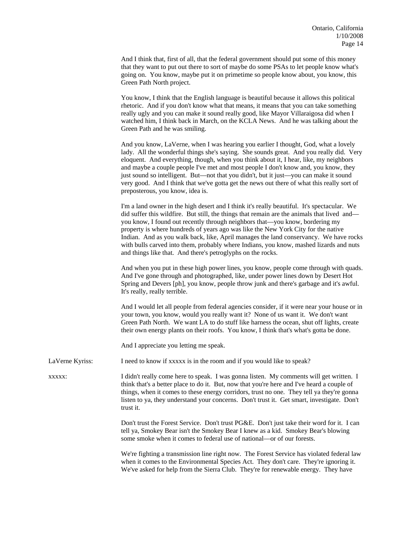And I think that, first of all, that the federal government should put some of this money that they want to put out there to sort of maybe do some PSAs to let people know what's going on. You know, maybe put it on primetime so people know about, you know, this Green Path North project.

 You know, I think that the English language is beautiful because it allows this political rhetoric. And if you don't know what that means, it means that you can take something really ugly and you can make it sound really good, like Mayor Villaraigosa did when I watched him, I think back in March, on the KCLA News. And he was talking about the Green Path and he was smiling.

 And you know, LaVerne, when I was hearing you earlier I thought, God, what a lovely lady. All the wonderful things she's saying. She sounds great. And you really did. Very eloquent. And everything, though, when you think about it, I hear, like, my neighbors and maybe a couple people I've met and most people I don't know and, you know, they just sound so intelligent. But—not that you didn't, but it just—you can make it sound very good. And I think that we've gotta get the news out there of what this really sort of preposterous, you know, idea is.

 I'm a land owner in the high desert and I think it's really beautiful. It's spectacular. We did suffer this wildfire. But still, the things that remain are the animals that lived and you know, I found out recently through neighbors that—you know, bordering my property is where hundreds of years ago was like the New York City for the native Indian. And as you walk back, like, April manages the land conservancy. We have rocks with bulls carved into them, probably where Indians, you know, mashed lizards and nuts and things like that. And there's petroglyphs on the rocks.

 And when you put in these high power lines, you know, people come through with quads. And I've gone through and photographed, like, under power lines down by Desert Hot Spring and Devers [ph], you know, people throw junk and there's garbage and it's awful. It's really, really terrible.

 And I would let all people from federal agencies consider, if it were near your house or in your town, you know, would you really want it? None of us want it. We don't want Green Path North. We want LA to do stuff like harness the ocean, shut off lights, create their own energy plants on their roofs. You know, I think that's what's gotta be done.

And I appreciate you letting me speak.

LaVerne Kyriss: I need to know if xxxxx is in the room and if you would like to speak?

xxxxx: I didn't really come here to speak. I was gonna listen. My comments will get written. I think that's a better place to do it. But, now that you're here and I've heard a couple of things, when it comes to these energy corridors, trust no one. They tell ya they're gonna listen to ya, they understand your concerns. Don't trust it. Get smart, investigate. Don't trust it.

> Don't trust the Forest Service. Don't trust PG&E. Don't just take their word for it. I can tell ya, Smokey Bear isn't the Smokey Bear I knew as a kid. Smokey Bear's blowing some smoke when it comes to federal use of national—or of our forests.

> We're fighting a transmission line right now. The Forest Service has violated federal law when it comes to the Environmental Species Act. They don't care. They're ignoring it. We've asked for help from the Sierra Club. They're for renewable energy. They have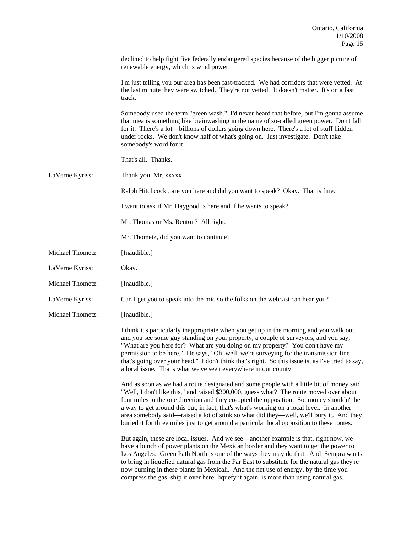|                  | declined to help fight five federally endangered species because of the bigger picture of<br>renewable energy, which is wind power.                                                                                                                                                                                                                                                                                                                                                                                                                                     |
|------------------|-------------------------------------------------------------------------------------------------------------------------------------------------------------------------------------------------------------------------------------------------------------------------------------------------------------------------------------------------------------------------------------------------------------------------------------------------------------------------------------------------------------------------------------------------------------------------|
|                  | I'm just telling you our area has been fast-tracked. We had corridors that were vetted. At<br>the last minute they were switched. They're not vetted. It doesn't matter. It's on a fast<br>track.                                                                                                                                                                                                                                                                                                                                                                       |
|                  | Somebody used the term "green wash." I'd never heard that before, but I'm gonna assume<br>that means something like brainwashing in the name of so-called green power. Don't fall<br>for it. There's a lot—billions of dollars going down here. There's a lot of stuff hidden<br>under rocks. We don't know half of what's going on. Just investigate. Don't take<br>somebody's word for it.                                                                                                                                                                            |
|                  | That's all. Thanks.                                                                                                                                                                                                                                                                                                                                                                                                                                                                                                                                                     |
| LaVerne Kyriss:  | Thank you, Mr. xxxxx                                                                                                                                                                                                                                                                                                                                                                                                                                                                                                                                                    |
|                  | Ralph Hitchcock, are you here and did you want to speak? Okay. That is fine.                                                                                                                                                                                                                                                                                                                                                                                                                                                                                            |
|                  | I want to ask if Mr. Haygood is here and if he wants to speak?                                                                                                                                                                                                                                                                                                                                                                                                                                                                                                          |
|                  | Mr. Thomas or Ms. Renton? All right.                                                                                                                                                                                                                                                                                                                                                                                                                                                                                                                                    |
|                  | Mr. Thometz, did you want to continue?                                                                                                                                                                                                                                                                                                                                                                                                                                                                                                                                  |
| Michael Thometz: | [Inaudible.]                                                                                                                                                                                                                                                                                                                                                                                                                                                                                                                                                            |
| LaVerne Kyriss:  | Okay.                                                                                                                                                                                                                                                                                                                                                                                                                                                                                                                                                                   |
| Michael Thometz: | [Inaudible.]                                                                                                                                                                                                                                                                                                                                                                                                                                                                                                                                                            |
| LaVerne Kyriss:  | Can I get you to speak into the mic so the folks on the webcast can hear you?                                                                                                                                                                                                                                                                                                                                                                                                                                                                                           |
| Michael Thometz: | [Inaudible.]                                                                                                                                                                                                                                                                                                                                                                                                                                                                                                                                                            |
|                  | I think it's particularly inappropriate when you get up in the morning and you walk out<br>and you see some guy standing on your property, a couple of surveyors, and you say,<br>"What are you here for? What are you doing on my property? You don't have my<br>permission to be here." He says, "Oh, well, we're surveying for the transmission line<br>that's going over your head." I don't think that's right. So this issue is, as I've tried to say,<br>a local issue. That's what we've seen everywhere in our county.                                         |
|                  | And as soon as we had a route designated and some people with a little bit of money said,<br>"Well, I don't like this," and raised \$300,000, guess what? The route moved over about<br>four miles to the one direction and they co-opted the opposition. So, money shouldn't be<br>a way to get around this but, in fact, that's what's working on a local level. In another<br>area somebody said—raised a lot of stink so what did they—well, we'll bury it. And they<br>buried it for three miles just to get around a particular local opposition to these routes. |
|                  | But again, these are local issues. And we see—another example is that, right now, we<br>have a bunch of power plants on the Mexican border and they want to get the power to<br>Los Angeles. Green Path North is one of the ways they may do that. And Sempra wants<br>to bring in liquefied natural gas from the Far East to substitute for the natural gas they're<br>now burning in these plants in Mexicali. And the net use of energy, by the time you<br>compress the gas, ship it over here, liquefy it again, is more than using natural gas.                   |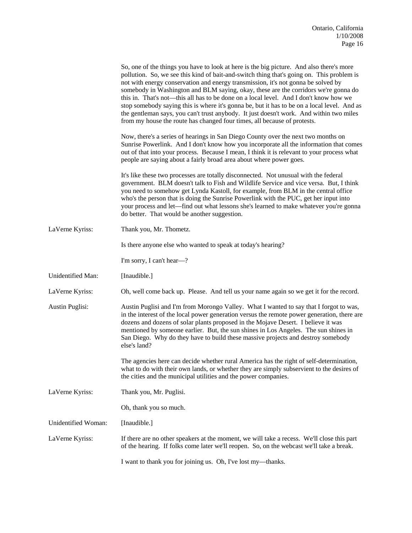|                     | So, one of the things you have to look at here is the big picture. And also there's more<br>pollution. So, we see this kind of bait-and-switch thing that's going on. This problem is<br>not with energy conservation and energy transmission, it's not gonna be solved by<br>somebody in Washington and BLM saying, okay, these are the corridors we're gonna do<br>this in. That's not—this all has to be done on a local level. And I don't know how we<br>stop somebody saying this is where it's gonna be, but it has to be on a local level. And as<br>the gentleman says, you can't trust anybody. It just doesn't work. And within two miles<br>from my house the route has changed four times, all because of protests. |
|---------------------|----------------------------------------------------------------------------------------------------------------------------------------------------------------------------------------------------------------------------------------------------------------------------------------------------------------------------------------------------------------------------------------------------------------------------------------------------------------------------------------------------------------------------------------------------------------------------------------------------------------------------------------------------------------------------------------------------------------------------------|
|                     | Now, there's a series of hearings in San Diego County over the next two months on<br>Sunrise Powerlink. And I don't know how you incorporate all the information that comes<br>out of that into your process. Because I mean, I think it is relevant to your process what<br>people are saying about a fairly broad area about where power goes.                                                                                                                                                                                                                                                                                                                                                                                 |
|                     | It's like these two processes are totally disconnected. Not unusual with the federal<br>government. BLM doesn't talk to Fish and Wildlife Service and vice versa. But, I think<br>you need to somehow get Lynda Kastoll, for example, from BLM in the central office<br>who's the person that is doing the Sunrise Powerlink with the PUC, get her input into<br>your process and let—find out what lessons she's learned to make whatever you're gonna<br>do better. That would be another suggestion.                                                                                                                                                                                                                          |
| LaVerne Kyriss:     | Thank you, Mr. Thometz.                                                                                                                                                                                                                                                                                                                                                                                                                                                                                                                                                                                                                                                                                                          |
|                     | Is there anyone else who wanted to speak at today's hearing?                                                                                                                                                                                                                                                                                                                                                                                                                                                                                                                                                                                                                                                                     |
|                     | I'm sorry, I can't hear-?                                                                                                                                                                                                                                                                                                                                                                                                                                                                                                                                                                                                                                                                                                        |
| Unidentified Man:   | [Inaudible.]                                                                                                                                                                                                                                                                                                                                                                                                                                                                                                                                                                                                                                                                                                                     |
| LaVerne Kyriss:     | Oh, well come back up. Please. And tell us your name again so we get it for the record.                                                                                                                                                                                                                                                                                                                                                                                                                                                                                                                                                                                                                                          |
| Austin Puglisi:     | Austin Puglisi and I'm from Morongo Valley. What I wanted to say that I forgot to was,<br>in the interest of the local power generation versus the remote power generation, there are<br>dozens and dozens of solar plants proposed in the Mojave Desert. I believe it was<br>mentioned by someone earlier. But, the sun shines in Los Angeles. The sun shines in<br>San Diego. Why do they have to build these massive projects and destroy somebody<br>else's land?                                                                                                                                                                                                                                                            |
|                     | The agencies here can decide whether rural America has the right of self-determination,<br>what to do with their own lands, or whether they are simply subservient to the desires of<br>the cities and the municipal utilities and the power companies.                                                                                                                                                                                                                                                                                                                                                                                                                                                                          |
| LaVerne Kyriss:     | Thank you, Mr. Puglisi.                                                                                                                                                                                                                                                                                                                                                                                                                                                                                                                                                                                                                                                                                                          |
|                     | Oh, thank you so much.                                                                                                                                                                                                                                                                                                                                                                                                                                                                                                                                                                                                                                                                                                           |
| Unidentified Woman: | [Inaudible.]                                                                                                                                                                                                                                                                                                                                                                                                                                                                                                                                                                                                                                                                                                                     |
| LaVerne Kyriss:     | If there are no other speakers at the moment, we will take a recess. We'll close this part<br>of the hearing. If folks come later we'll reopen. So, on the webcast we'll take a break.                                                                                                                                                                                                                                                                                                                                                                                                                                                                                                                                           |
|                     | I want to thank you for joining us. Oh, I've lost my-thanks.                                                                                                                                                                                                                                                                                                                                                                                                                                                                                                                                                                                                                                                                     |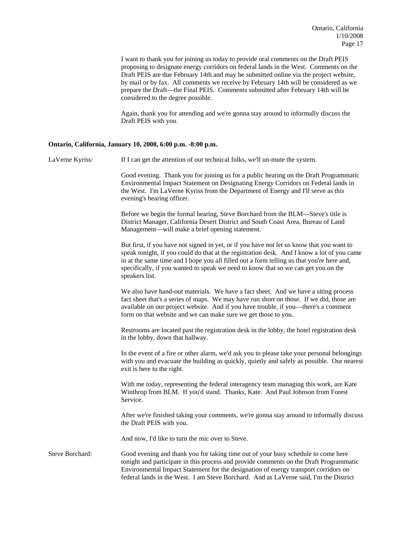I want to thank you for joining us today to provide oral comments on the Draft PEIS proposing to designate energy corridors on federal lands in the West. Comments on the Draft PEIS are due February 14th and may be submitted online via the project website, by mail or by fax. All comments we receive by February 14th will be considered as we prepare the Draft—the Final PEIS. Comments submitted after February 14th will be considered to the degree possible.

 Again, thank you for attending and we're gonna stay around to informally discuss the Draft PEIS with you.

#### **Ontario, California, January 10, 2008, 6:00 p.m. -8:00 p.m.**

LaVerne Kyriss: If I can get the attention of our technical folks, we'll un-mute the system.

 Good evening. Thank you for joining us for a public hearing on the Draft Programmatic Environmental Impact Statement on Designating Energy Corridors on Federal lands in the West. I'm LaVerne Kyriss from the Department of Energy and I'll serve as this evening's hearing officer.

 Before we begin the formal hearing, Steve Borchard from the BLM—Steve's title is District Manager, California Desert District and South Coast Area, Bureau of Land Management—will make a brief opening statement.

 But first, if you have not signed in yet, or if you have not let us know that you want to speak tonight, if you could do that at the registration desk. And I know a lot of you came in at the same time and I hope you all filled out a form telling us that you're here and, specifically, if you wanted to speak we need to know that so we can get you on the speakers list.

We also have hand-out materials. We have a fact sheet. And we have a siting process fact sheet that's a series of maps. We may have run short on those. If we did, those are available on our project website. And if you have trouble, if you—there's a comment form on that website and we can make sure we get those to you.

 Restrooms are located past the registration desk in the lobby, the hotel registration desk in the lobby, down that hallway.

In the event of a fire or other alarm, we'd ask you to please take your personal belongings with you and evacuate the building as quickly, quietly and safely as possible. Our nearest exit is here to the right.

With me today, representing the federal interagency team managing this work, are Kate Winthrop from BLM. If you'd stand. Thanks, Kate. And Paul Johnson from Forest Service.

After we're finished taking your comments, we're gonna stay around to informally discuss the Draft PEIS with you.

And now, I'd like to turn the mic over to Steve.

Steve Borchard: Good evening and thank you for taking time out of your busy schedule to come here tonight and participate in this process and provide comments on the Draft Programmatic Environmental Impact Statement for the designation of energy transport corridors on federal lands in the West. I am Steve Borchard. And as LaVerne said, I'm the District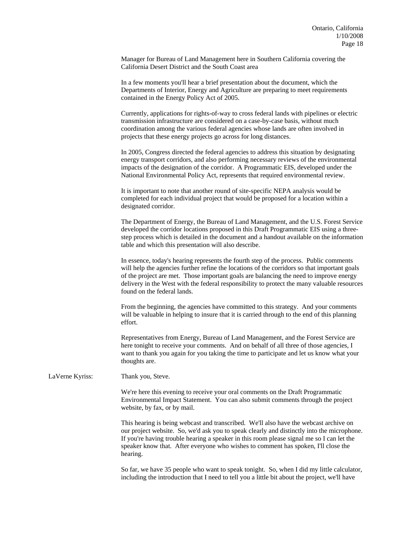Manager for Bureau of Land Management here in Southern California covering the California Desert District and the South Coast area

 In a few moments you'll hear a brief presentation about the document, which the Departments of Interior, Energy and Agriculture are preparing to meet requirements contained in the Energy Policy Act of 2005.

 Currently, applications for rights-of-way to cross federal lands with pipelines or electric transmission infrastructure are considered on a case-by-case basis, without much coordination among the various federal agencies whose lands are often involved in projects that these energy projects go across for long distances.

 In 2005, Congress directed the federal agencies to address this situation by designating energy transport corridors, and also performing necessary reviews of the environmental impacts of the designation of the corridor. A Programmatic EIS, developed under the National Environmental Policy Act, represents that required environmental review.

 It is important to note that another round of site-specific NEPA analysis would be completed for each individual project that would be proposed for a location within a designated corridor.

 The Department of Energy, the Bureau of Land Management, and the U.S. Forest Service developed the corridor locations proposed in this Draft Programmatic EIS using a threestep process which is detailed in the document and a handout available on the information table and which this presentation will also describe.

 In essence, today's hearing represents the fourth step of the process. Public comments will help the agencies further refine the locations of the corridors so that important goals of the project are met. Those important goals are balancing the need to improve energy delivery in the West with the federal responsibility to protect the many valuable resources found on the federal lands.

 From the beginning, the agencies have committed to this strategy. And your comments will be valuable in helping to insure that it is carried through to the end of this planning effort.

 Representatives from Energy, Bureau of Land Management, and the Forest Service are here tonight to receive your comments. And on behalf of all three of those agencies, I want to thank you again for you taking the time to participate and let us know what your thoughts are.

LaVerne Kyriss: Thank you, Steve.

 We're here this evening to receive your oral comments on the Draft Programmatic Environmental Impact Statement. You can also submit comments through the project website, by fax, or by mail.

This hearing is being webcast and transcribed. We'll also have the webcast archive on our project website. So, we'd ask you to speak clearly and distinctly into the microphone. If you're having trouble hearing a speaker in this room please signal me so I can let the speaker know that. After everyone who wishes to comment has spoken, I'll close the hearing.

So far, we have 35 people who want to speak tonight. So, when I did my little calculator, including the introduction that I need to tell you a little bit about the project, we'll have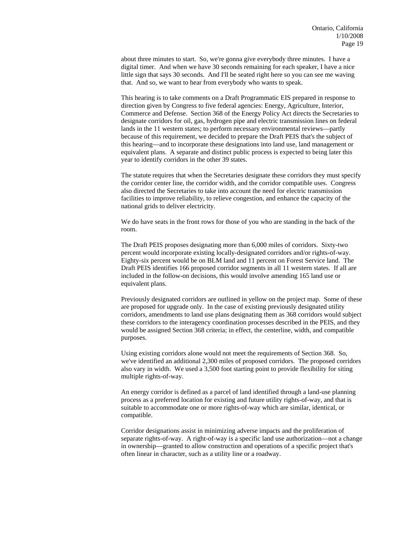about three minutes to start. So, we're gonna give everybody three minutes. I have a digital timer. And when we have 30 seconds remaining for each speaker, I have a nice little sign that says 30 seconds. And I'll be seated right here so you can see me waving that. And so, we want to hear from everybody who wants to speak.

 This hearing is to take comments on a Draft Programmatic EIS prepared in response to direction given by Congress to five federal agencies: Energy, Agriculture, Interior, Commerce and Defense. Section 368 of the Energy Policy Act directs the Secretaries to designate corridors for oil, gas, hydrogen pipe and electric transmission lines on federal lands in the 11 western states; to perform necessary environmental reviews—partly because of this requirement, we decided to prepare the Draft PEIS that's the subject of this hearing—and to incorporate these designations into land use, land management or equivalent plans. A separate and distinct public process is expected to being later this year to identify corridors in the other 39 states.

 The statute requires that when the Secretaries designate these corridors they must specify the corridor center line, the corridor width, and the corridor compatible uses. Congress also directed the Secretaries to take into account the need for electric transmission facilities to improve reliability, to relieve congestion, and enhance the capacity of the national grids to deliver electricity.

 We do have seats in the front rows for those of you who are standing in the back of the room.

 The Draft PEIS proposes designating more than 6,000 miles of corridors. Sixty-two percent would incorporate existing locally-designated corridors and/or rights-of-way. Eighty-six percent would be on BLM land and 11 percent on Forest Service land. The Draft PEIS identifies 166 proposed corridor segments in all 11 western states. If all are included in the follow-on decisions, this would involve amending 165 land use or equivalent plans.

 Previously designated corridors are outlined in yellow on the project map. Some of these are proposed for upgrade only. In the case of existing previously designated utility corridors, amendments to land use plans designating them as 368 corridors would subject these corridors to the interagency coordination processes described in the PEIS, and they would be assigned Section 368 criteria; in effect, the centerline, width, and compatible purposes.

 Using existing corridors alone would not meet the requirements of Section 368. So, we've identified an additional 2,300 miles of proposed corridors. The proposed corridors also vary in width. We used a 3,500 foot starting point to provide flexibility for siting multiple rights-of-way.

 An energy corridor is defined as a parcel of land identified through a land-use planning process as a preferred location for existing and future utility rights-of-way, and that is suitable to accommodate one or more rights-of-way which are similar, identical, or compatible.

 Corridor designations assist in minimizing adverse impacts and the proliferation of separate rights-of-way. A right-of-way is a specific land use authorization—not a change in ownership—granted to allow construction and operations of a specific project that's often linear in character, such as a utility line or a roadway.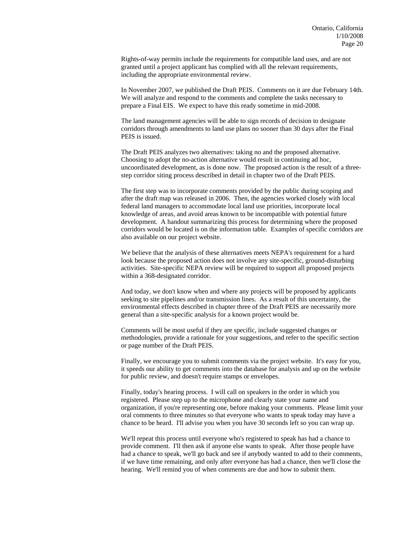Rights-of-way permits include the requirements for compatible land uses, and are not granted until a project applicant has complied with all the relevant requirements, including the appropriate environmental review.

 In November 2007, we published the Draft PEIS. Comments on it are due February 14th. We will analyze and respond to the comments and complete the tasks necessary to prepare a Final EIS. We expect to have this ready sometime in mid-2008.

 The land management agencies will be able to sign records of decision to designate corridors through amendments to land use plans no sooner than 30 days after the Final PEIS is issued.

 The Draft PEIS analyzes two alternatives: taking no and the proposed alternative. Choosing to adopt the no-action alternative would result in continuing ad hoc, uncoordinated development, as is done now. The proposed action is the result of a threestep corridor siting process described in detail in chapter two of the Draft PEIS.

 The first step was to incorporate comments provided by the public during scoping and after the draft map was released in 2006. Then, the agencies worked closely with local federal land managers to accommodate local land use priorities, incorporate local knowledge of areas, and avoid areas known to be incompatible with potential future development. A handout summarizing this process for determining where the proposed corridors would be located is on the information table. Examples of specific corridors are also available on our project website.

 We believe that the analysis of these alternatives meets NEPA's requirement for a hard look because the proposed action does not involve any site-specific, ground-disturbing activities. Site-specific NEPA review will be required to support all proposed projects within a 368-designated corridor.

And today, we don't know when and where any projects will be proposed by applicants seeking to site pipelines and/or transmission lines. As a result of this uncertainty, the environmental effects described in chapter three of the Draft PEIS are necessarily more general than a site-specific analysis for a known project would be.

Comments will be most useful if they are specific, include suggested changes or methodologies, provide a rationale for your suggestions, and refer to the specific section or page number of the Draft PEIS.

Finally, we encourage you to submit comments via the project website. It's easy for you, it speeds our ability to get comments into the database for analysis and up on the website for public review, and doesn't require stamps or envelopes.

Finally, today's hearing process. I will call on speakers in the order in which you registered. Please step up to the microphone and clearly state your name and organization, if you're representing one, before making your comments. Please limit your oral comments to three minutes so that everyone who wants to speak today may have a chance to be heard. I'll advise you when you have 30 seconds left so you can wrap up.

We'll repeat this process until everyone who's registered to speak has had a chance to provide comment. I'll then ask if anyone else wants to speak. After those people have had a chance to speak, we'll go back and see if anybody wanted to add to their comments, if we have time remaining, and only after everyone has had a chance, then we'll close the hearing. We'll remind you of when comments are due and how to submit them.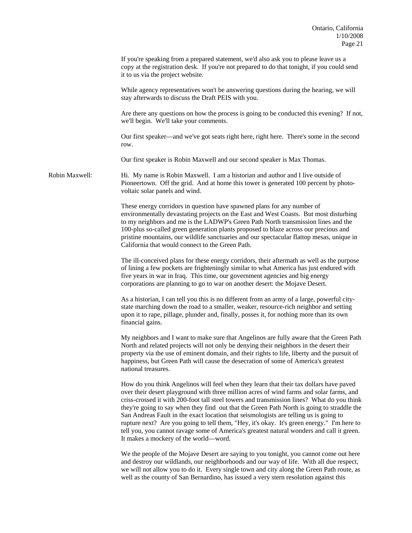|                | If you're speaking from a prepared statement, we'd also ask you to please leave us a<br>copy at the registration desk. If you're not prepared to do that tonight, if you could send<br>it to us via the project website.                                                                                                                                                                                                                                                                                                                                                                                                                                                                                    |
|----------------|-------------------------------------------------------------------------------------------------------------------------------------------------------------------------------------------------------------------------------------------------------------------------------------------------------------------------------------------------------------------------------------------------------------------------------------------------------------------------------------------------------------------------------------------------------------------------------------------------------------------------------------------------------------------------------------------------------------|
|                | While agency representatives won't be answering questions during the hearing, we will<br>stay afterwards to discuss the Draft PEIS with you.                                                                                                                                                                                                                                                                                                                                                                                                                                                                                                                                                                |
|                | Are there any questions on how the process is going to be conducted this evening? If not,<br>we'll begin. We'll take your comments.                                                                                                                                                                                                                                                                                                                                                                                                                                                                                                                                                                         |
|                | Our first speaker—and we've got seats right here, right here. There's some in the second<br>row.                                                                                                                                                                                                                                                                                                                                                                                                                                                                                                                                                                                                            |
|                | Our first speaker is Robin Maxwell and our second speaker is Max Thomas.                                                                                                                                                                                                                                                                                                                                                                                                                                                                                                                                                                                                                                    |
| Robin Maxwell: | Hi. My name is Robin Maxwell. I am a historian and author and I live outside of<br>Pioneertown. Off the grid. And at home this tower is generated 100 percent by photo-<br>voltaic solar panels and wind.                                                                                                                                                                                                                                                                                                                                                                                                                                                                                                   |
|                | These energy corridors in question have spawned plans for any number of<br>environmentally devastating projects on the East and West Coasts. But most disturbing<br>to my neighbors and me is the LADWP's Green Path North transmission lines and the<br>100-plus so-called green generation plants proposed to blaze across our precious and<br>pristine mountains, our wildlife sanctuaries and our spectacular flattop mesas, unique in<br>California that would connect to the Green Path.                                                                                                                                                                                                              |
|                | The ill-conceived plans for these energy corridors, their aftermath as well as the purpose<br>of lining a few pockets are frighteningly similar to what America has just endured with<br>five years in war in Iraq. This time, our government agencies and big energy<br>corporations are planning to go to war on another desert: the Mojave Desert.                                                                                                                                                                                                                                                                                                                                                       |
|                | As a historian, I can tell you this is no different from an army of a large, powerful city-<br>state marching down the road to a smaller, weaker, resource-rich neighbor and setting<br>upon it to rape, pillage, plunder and, finally, posses it, for nothing more than its own<br>financial gains.                                                                                                                                                                                                                                                                                                                                                                                                        |
|                | My neighbors and I want to make sure that Angelinos are fully aware that the Green Path<br>North and related projects will not only be denying their neighbors in the desert their<br>property via the use of eminent domain, and their rights to life, liberty and the pursuit of<br>happiness, but Green Path will cause the desecration of some of America's greatest<br>national treasures.                                                                                                                                                                                                                                                                                                             |
|                | How do you think Angelinos will feel when they learn that their tax dollars have paved<br>over their desert playground with three million acres of wind farms and solar farms, and<br>criss-crossed it with 200-foot tall steel towers and transmission lines? What do you think<br>they're going to say when they find out that the Green Path North is going to straddle the<br>San Andreas Fault in the exact location that seismologists are telling us is going to<br>rupture next? Are you going to tell them, "Hey, it's okay. It's green energy." I'm here to<br>tell you, you cannot ravage some of America's greatest natural wonders and call it green.<br>It makes a mockery of the world-word. |
|                | We the people of the Mojave Desert are saying to you tonight, you cannot come out here<br>and destroy our wildlands, our neighborhoods and our way of life. With all due respect,<br>we will not allow you to do it. Every single town and city along the Green Path route, as<br>well as the county of San Bernardino, has issued a very stern resolution against this                                                                                                                                                                                                                                                                                                                                     |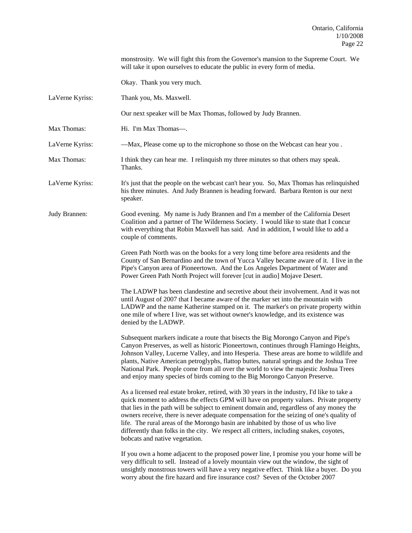will take it upon ourselves to educate the public in every form of media. Okay. Thank you very much. LaVerne Kyriss: Thank you, Ms. Maxwell. Our next speaker will be Max Thomas, followed by Judy Brannen. Max Thomas: Hi. I'm Max Thomas—. LaVerne Kyriss: —Max, Please come up to the microphone so those on the Webcast can hear you . Max Thomas: I think they can hear me. I relinquish my three minutes so that others may speak. Thanks. LaVerne Kyriss: It's just that the people on the webcast can't hear you. So, Max Thomas has relinquished his three minutes. And Judy Brannen is heading forward. Barbara Renton is our next speaker. Judy Brannen: Good evening. My name is Judy Brannen and I'm a member of the California Desert Coalition and a partner of The Wilderness Society. I would like to state that I concur with everything that Robin Maxwell has said. And in addition, I would like to add a couple of comments. Green Path North was on the books for a very long time before area residents and the County of San Bernardino and the town of Yucca Valley became aware of it. I live in the Pipe's Canyon area of Pioneertown. And the Los Angeles Department of Water and Power Green Path North Project will forever [cut in audio] Mojave Desert. The LADWP has been clandestine and secretive about their involvement. And it was not until August of 2007 that I became aware of the marker set into the mountain with LADWP and the name Katherine stamped on it. The marker's on private property within one mile of where I live, was set without owner's knowledge, and its existence was denied by the LADWP. Subsequent markers indicate a route that bisects the Big Morongo Canyon and Pipe's Canyon Preserves, as well as historic Pioneertown, continues through Flamingo Heights, Johnson Valley, Lucerne Valley, and into Hesperia. These areas are home to wildlife and plants, Native American petroglyphs, flattop buttes, natural springs and the Joshua Tree National Park. People come from all over the world to view the majestic Joshua Trees and enjoy many species of birds coming to the Big Morongo Canyon Preserve. As a licensed real estate broker, retired, with 30 years in the industry, I'd like to take a quick moment to address the effects GPM will have on property values. Private property that lies in the path will be subject to eminent domain and, regardless of any money the owners receive, there is never adequate compensation for the seizing of one's quality of life. The rural areas of the Morongo basin are inhabited by those of us who live differently than folks in the city. We respect all critters, including snakes, coyotes, bobcats and native vegetation. If you own a home adjacent to the proposed power line, I promise you your home will be very difficult to sell. Instead of a lovely mountain view out the window, the sight of unsightly monstrous towers will have a very negative effect. Think like a buyer. Do you worry about the fire hazard and fire insurance cost? Seven of the October 2007

monstrosity. We will fight this from the Governor's mansion to the Supreme Court. We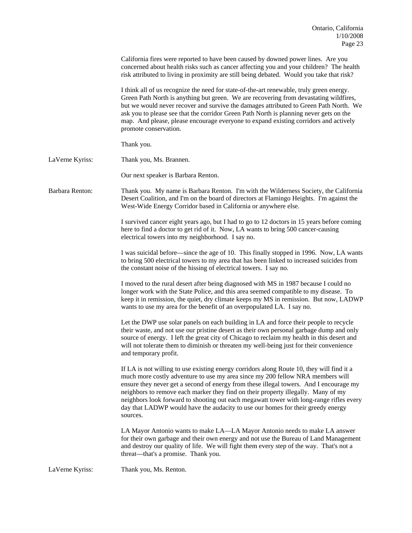|                 | California fires were reported to have been caused by downed power lines. Are you<br>concerned about health risks such as cancer affecting you and your children? The health<br>risk attributed to living in proximity are still being debated. Would you take that risk?                                                                                                                                                                                                                                                                            |
|-----------------|------------------------------------------------------------------------------------------------------------------------------------------------------------------------------------------------------------------------------------------------------------------------------------------------------------------------------------------------------------------------------------------------------------------------------------------------------------------------------------------------------------------------------------------------------|
|                 | I think all of us recognize the need for state-of-the-art renewable, truly green energy.<br>Green Path North is anything but green. We are recovering from devastating wildfires,<br>but we would never recover and survive the damages attributed to Green Path North. We<br>ask you to please see that the corridor Green Path North is planning never gets on the<br>map. And please, please encourage everyone to expand existing corridors and actively<br>promote conservation.                                                                |
|                 | Thank you.                                                                                                                                                                                                                                                                                                                                                                                                                                                                                                                                           |
| LaVerne Kyriss: | Thank you, Ms. Brannen.                                                                                                                                                                                                                                                                                                                                                                                                                                                                                                                              |
|                 | Our next speaker is Barbara Renton.                                                                                                                                                                                                                                                                                                                                                                                                                                                                                                                  |
| Barbara Renton: | Thank you. My name is Barbara Renton. I'm with the Wilderness Society, the California<br>Desert Coalition, and I'm on the board of directors at Flamingo Heights. I'm against the<br>West-Wide Energy Corridor based in California or anywhere else.                                                                                                                                                                                                                                                                                                 |
|                 | I survived cancer eight years ago, but I had to go to 12 doctors in 15 years before coming<br>here to find a doctor to get rid of it. Now, LA wants to bring 500 cancer-causing<br>electrical towers into my neighborhood. I say no.                                                                                                                                                                                                                                                                                                                 |
|                 | I was suicidal before—since the age of 10. This finally stopped in 1996. Now, LA wants<br>to bring 500 electrical towers to my area that has been linked to increased suicides from<br>the constant noise of the hissing of electrical towers. I say no.                                                                                                                                                                                                                                                                                             |
|                 | I moved to the rural desert after being diagnosed with MS in 1987 because I could no<br>longer work with the State Police, and this area seemed compatible to my disease. To<br>keep it in remission, the quiet, dry climate keeps my MS in remission. But now, LADWP<br>wants to use my area for the benefit of an overpopulated LA. I say no.                                                                                                                                                                                                      |
|                 | Let the DWP use solar panels on each building in LA and force their people to recycle<br>their waste, and not use our pristine desert as their own personal garbage dump and only<br>source of energy. I left the great city of Chicago to reclaim my health in this desert and<br>will not tolerate them to diminish or threaten my well-being just for their convenience<br>and temporary profit.                                                                                                                                                  |
|                 | If LA is not willing to use existing energy corridors along Route 10, they will find it a<br>much more costly adventure to use my area since my 200 fellow NRA members will<br>ensure they never get a second of energy from these illegal towers. And I encourage my<br>neighbors to remove each marker they find on their property illegally. Many of my<br>neighbors look forward to shooting out each megawatt tower with long-range rifles every<br>day that LADWP would have the audacity to use our homes for their greedy energy<br>sources. |
|                 | LA Mayor Antonio wants to make LA—LA Mayor Antonio needs to make LA answer<br>for their own garbage and their own energy and not use the Bureau of Land Management<br>and destroy our quality of life. We will fight them every step of the way. That's not a<br>threat—that's a promise. Thank you.                                                                                                                                                                                                                                                 |
| LaVerne Kyriss: | Thank you, Ms. Renton.                                                                                                                                                                                                                                                                                                                                                                                                                                                                                                                               |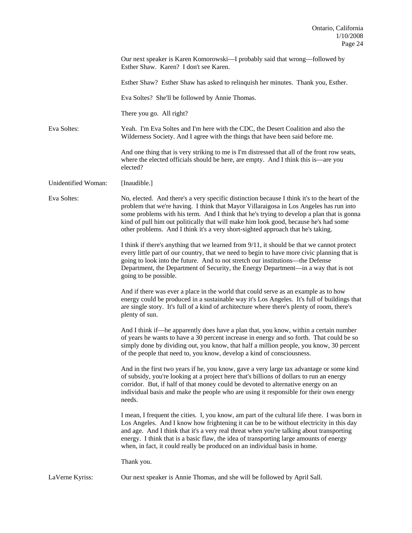|                     | Our next speaker is Karen Komorowski-I probably said that wrong-followed by<br>Esther Shaw. Karen? I don't see Karen.                                                                                                                                                                                                                                                                                                                                            |
|---------------------|------------------------------------------------------------------------------------------------------------------------------------------------------------------------------------------------------------------------------------------------------------------------------------------------------------------------------------------------------------------------------------------------------------------------------------------------------------------|
|                     | Esther Shaw? Esther Shaw has asked to relinquish her minutes. Thank you, Esther.                                                                                                                                                                                                                                                                                                                                                                                 |
|                     | Eva Soltes? She'll be followed by Annie Thomas.                                                                                                                                                                                                                                                                                                                                                                                                                  |
|                     | There you go. All right?                                                                                                                                                                                                                                                                                                                                                                                                                                         |
| Eva Soltes:         | Yeah. I'm Eva Soltes and I'm here with the CDC, the Desert Coalition and also the<br>Wilderness Society. And I agree with the things that have been said before me.                                                                                                                                                                                                                                                                                              |
|                     | And one thing that is very striking to me is I'm distressed that all of the front row seats,<br>where the elected officials should be here, are empty. And I think this is—are you<br>elected?                                                                                                                                                                                                                                                                   |
| Unidentified Woman: | [Inaudible.]                                                                                                                                                                                                                                                                                                                                                                                                                                                     |
| Eva Soltes:         | No, elected. And there's a very specific distinction because I think it's to the heart of the<br>problem that we're having. I think that Mayor Villaraigosa in Los Angeles has run into<br>some problems with his term. And I think that he's trying to develop a plan that is gonna<br>kind of pull him out politically that will make him look good, because he's had some<br>other problems. And I think it's a very short-sighted approach that he's taking. |
|                     | I think if there's anything that we learned from 9/11, it should be that we cannot protect<br>every little part of our country, that we need to begin to have more civic planning that is<br>going to look into the future. And to not stretch our institutions—the Defense<br>Department, the Department of Security, the Energy Department—in a way that is not<br>going to be possible.                                                                       |
|                     | And if there was ever a place in the world that could serve as an example as to how<br>energy could be produced in a sustainable way it's Los Angeles. It's full of buildings that<br>are single story. It's full of a kind of architecture where there's plenty of room, there's<br>plenty of sun.                                                                                                                                                              |
|                     | And I think if—he apparently does have a plan that, you know, within a certain number<br>of years he wants to have a 30 percent increase in energy and so forth. That could be so<br>simply done by dividing out, you know, that half a million people, you know, 30 percent<br>of the people that need to, you know, develop a kind of consciousness.                                                                                                           |
|                     | And in the first two years if he, you know, gave a very large tax advantage or some kind<br>of subsidy, you're looking at a project here that's billions of dollars to run an energy<br>corridor. But, if half of that money could be devoted to alternative energy on an<br>individual basis and make the people who are using it responsible for their own energy<br>needs.                                                                                    |
|                     | I mean, I frequent the cities. I, you know, am part of the cultural life there. I was born in<br>Los Angeles. And I know how frightening it can be to be without electricity in this day<br>and age. And I think that it's a very real threat when you're talking about transporting<br>energy. I think that is a basic flaw, the idea of transporting large amounts of energy<br>when, in fact, it could really be produced on an individual basis in home.     |
|                     | Thank you.                                                                                                                                                                                                                                                                                                                                                                                                                                                       |

LaVerne Kyriss: Our next speaker is Annie Thomas, and she will be followed by April Sall.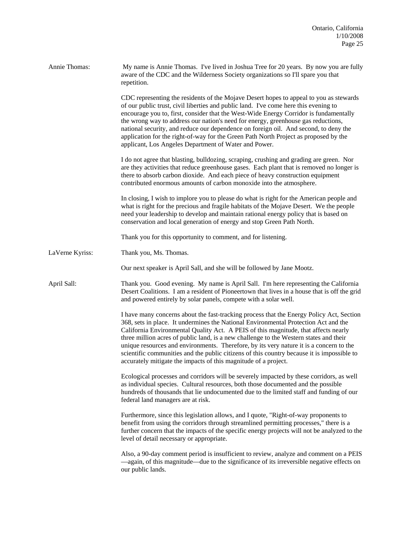| Annie Thomas:   | My name is Annie Thomas. I've lived in Joshua Tree for 20 years. By now you are fully<br>aware of the CDC and the Wilderness Society organizations so I'll spare you that<br>repetition.                                                                                                                                                                                                                                                                                                                                                                                                                                     |
|-----------------|------------------------------------------------------------------------------------------------------------------------------------------------------------------------------------------------------------------------------------------------------------------------------------------------------------------------------------------------------------------------------------------------------------------------------------------------------------------------------------------------------------------------------------------------------------------------------------------------------------------------------|
|                 | CDC representing the residents of the Mojave Desert hopes to appeal to you as stewards<br>of our public trust, civil liberties and public land. I've come here this evening to<br>encourage you to, first, consider that the West-Wide Energy Corridor is fundamentally<br>the wrong way to address our nation's need for energy, greenhouse gas reductions,<br>national security, and reduce our dependence on foreign oil. And second, to deny the<br>application for the right-of-way for the Green Path North Project as proposed by the<br>applicant, Los Angeles Department of Water and Power.                        |
|                 | I do not agree that blasting, bulldozing, scraping, crushing and grading are green. Nor<br>are they activities that reduce greenhouse gases. Each plant that is removed no longer is<br>there to absorb carbon dioxide. And each piece of heavy construction equipment<br>contributed enormous amounts of carbon monoxide into the atmosphere.                                                                                                                                                                                                                                                                               |
|                 | In closing, I wish to implore you to please do what is right for the American people and<br>what is right for the precious and fragile habitats of the Mojave Desert. We the people<br>need your leadership to develop and maintain rational energy policy that is based on<br>conservation and local generation of energy and stop Green Path North.                                                                                                                                                                                                                                                                        |
|                 | Thank you for this opportunity to comment, and for listening.                                                                                                                                                                                                                                                                                                                                                                                                                                                                                                                                                                |
| LaVerne Kyriss: | Thank you, Ms. Thomas.                                                                                                                                                                                                                                                                                                                                                                                                                                                                                                                                                                                                       |
|                 | Our next speaker is April Sall, and she will be followed by Jane Mootz.                                                                                                                                                                                                                                                                                                                                                                                                                                                                                                                                                      |
| April Sall:     | Thank you. Good evening. My name is April Sall. I'm here representing the California<br>Desert Coalitions. I am a resident of Pioneertown that lives in a house that is off the grid<br>and powered entirely by solar panels, compete with a solar well.                                                                                                                                                                                                                                                                                                                                                                     |
|                 | I have many concerns about the fast-tracking process that the Energy Policy Act, Section<br>368, sets in place. It undermines the National Environmental Protection Act and the<br>California Environmental Quality Act. A PEIS of this magnitude, that affects nearly<br>three million acres of public land, is a new challenge to the Western states and their<br>unique resources and environments. Therefore, by its very nature it is a concern to the<br>scientific communities and the public citizens of this country because it is impossible to<br>accurately mitigate the impacts of this magnitude of a project. |
|                 | Ecological processes and corridors will be severely impacted by these corridors, as well<br>as individual species. Cultural resources, both those documented and the possible<br>hundreds of thousands that lie undocumented due to the limited staff and funding of our<br>federal land managers are at risk.                                                                                                                                                                                                                                                                                                               |
|                 | Furthermore, since this legislation allows, and I quote, "Right-of-way proponents to<br>benefit from using the corridors through streamlined permitting processes," there is a<br>further concern that the impacts of the specific energy projects will not be analyzed to the<br>level of detail necessary or appropriate.                                                                                                                                                                                                                                                                                                  |
|                 | Also, a 90-day comment period is insufficient to review, analyze and comment on a PEIS<br>-again, of this magnitude-due to the significance of its irreversible negative effects on<br>our public lands.                                                                                                                                                                                                                                                                                                                                                                                                                     |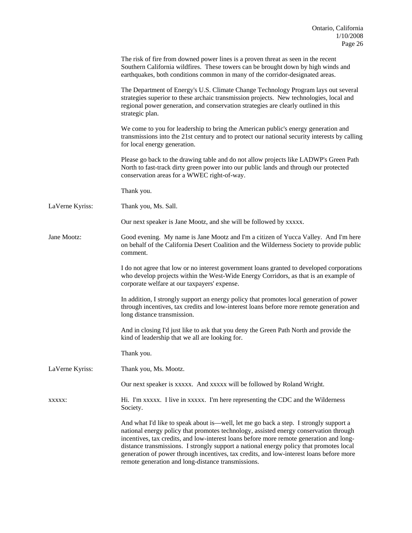|                 | The risk of fire from downed power lines is a proven threat as seen in the recent<br>Southern California wildfires. These towers can be brought down by high winds and<br>earthquakes, both conditions common in many of the corridor-designated areas.                                                                                                                                                                                                                                                               |
|-----------------|-----------------------------------------------------------------------------------------------------------------------------------------------------------------------------------------------------------------------------------------------------------------------------------------------------------------------------------------------------------------------------------------------------------------------------------------------------------------------------------------------------------------------|
|                 | The Department of Energy's U.S. Climate Change Technology Program lays out several<br>strategies superior to these archaic transmission projects. New technologies, local and<br>regional power generation, and conservation strategies are clearly outlined in this<br>strategic plan.                                                                                                                                                                                                                               |
|                 | We come to you for leadership to bring the American public's energy generation and<br>transmissions into the 21st century and to protect our national security interests by calling<br>for local energy generation.                                                                                                                                                                                                                                                                                                   |
|                 | Please go back to the drawing table and do not allow projects like LADWP's Green Path<br>North to fast-track dirty green power into our public lands and through our protected<br>conservation areas for a WWEC right-of-way.                                                                                                                                                                                                                                                                                         |
|                 | Thank you.                                                                                                                                                                                                                                                                                                                                                                                                                                                                                                            |
| LaVerne Kyriss: | Thank you, Ms. Sall.                                                                                                                                                                                                                                                                                                                                                                                                                                                                                                  |
|                 | Our next speaker is Jane Mootz, and she will be followed by xxxxx.                                                                                                                                                                                                                                                                                                                                                                                                                                                    |
| Jane Mootz:     | Good evening. My name is Jane Mootz and I'm a citizen of Yucca Valley. And I'm here<br>on behalf of the California Desert Coalition and the Wilderness Society to provide public<br>comment.                                                                                                                                                                                                                                                                                                                          |
|                 | I do not agree that low or no interest government loans granted to developed corporations<br>who develop projects within the West-Wide Energy Corridors, as that is an example of<br>corporate welfare at our taxpayers' expense.                                                                                                                                                                                                                                                                                     |
|                 | In addition, I strongly support an energy policy that promotes local generation of power<br>through incentives, tax credits and low-interest loans before more remote generation and<br>long distance transmission.                                                                                                                                                                                                                                                                                                   |
|                 | And in closing I'd just like to ask that you deny the Green Path North and provide the<br>kind of leadership that we all are looking for.                                                                                                                                                                                                                                                                                                                                                                             |
|                 | Thank you.                                                                                                                                                                                                                                                                                                                                                                                                                                                                                                            |
| LaVerne Kyriss: | Thank you, Ms. Mootz.                                                                                                                                                                                                                                                                                                                                                                                                                                                                                                 |
|                 | Our next speaker is xxxxx. And xxxxx will be followed by Roland Wright.                                                                                                                                                                                                                                                                                                                                                                                                                                               |
| XXXXX:          | Hi. I'm xxxxx. I live in xxxxx. I'm here representing the CDC and the Wilderness<br>Society.                                                                                                                                                                                                                                                                                                                                                                                                                          |
|                 | And what I'd like to speak about is—well, let me go back a step. I strongly support a<br>national energy policy that promotes technology, assisted energy conservation through<br>incentives, tax credits, and low-interest loans before more remote generation and long-<br>distance transmissions. I strongly support a national energy policy that promotes local<br>generation of power through incentives, tax credits, and low-interest loans before more<br>remote generation and long-distance transmissions. |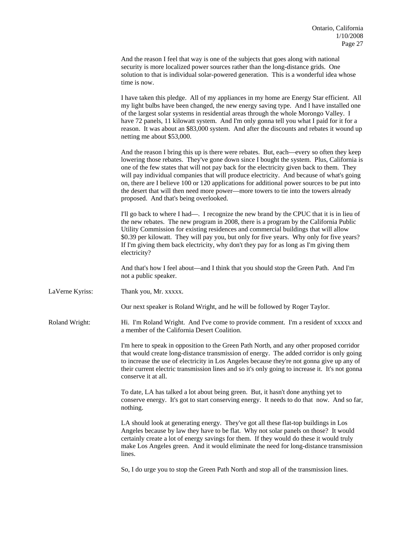|                       | And the reason I feel that way is one of the subjects that goes along with national<br>security is more localized power sources rather than the long-distance grids. One<br>solution to that is individual solar-powered generation. This is a wonderful idea whose<br>time is now.                                                                                                                                                                                                                                                                                                                            |
|-----------------------|----------------------------------------------------------------------------------------------------------------------------------------------------------------------------------------------------------------------------------------------------------------------------------------------------------------------------------------------------------------------------------------------------------------------------------------------------------------------------------------------------------------------------------------------------------------------------------------------------------------|
|                       | I have taken this pledge. All of my appliances in my home are Energy Star efficient. All<br>my light bulbs have been changed, the new energy saving type. And I have installed one<br>of the largest solar systems in residential areas through the whole Morongo Valley. I<br>have 72 panels, 11 kilowatt system. And I'm only gonna tell you what I paid for it for a<br>reason. It was about an \$83,000 system. And after the discounts and rebates it wound up<br>netting me about \$53,000.                                                                                                              |
|                       | And the reason I bring this up is there were rebates. But, each—every so often they keep<br>lowering those rebates. They've gone down since I bought the system. Plus, California is<br>one of the few states that will not pay back for the electricity given back to them. They<br>will pay individual companies that will produce electricity. And because of what's going<br>on, there are I believe 100 or 120 applications for additional power sources to be put into<br>the desert that will then need more power—more towers to tie into the towers already<br>proposed. And that's being overlooked. |
|                       | I'll go back to where I had—. I recognize the new brand by the CPUC that it is in lieu of<br>the new rebates. The new program in 2008, there is a program by the California Public<br>Utility Commission for existing residences and commercial buildings that will allow<br>\$0.39 per kilowatt. They will pay you, but only for five years. Why only for five years?<br>If I'm giving them back electricity, why don't they pay for as long as I'm giving them<br>electricity?                                                                                                                               |
|                       | And that's how I feel about—and I think that you should stop the Green Path. And I'm<br>not a public speaker.                                                                                                                                                                                                                                                                                                                                                                                                                                                                                                  |
| LaVerne Kyriss:       | Thank you, Mr. xxxxx.                                                                                                                                                                                                                                                                                                                                                                                                                                                                                                                                                                                          |
|                       | Our next speaker is Roland Wright, and he will be followed by Roger Taylor.                                                                                                                                                                                                                                                                                                                                                                                                                                                                                                                                    |
| <b>Roland Wright:</b> | Hi. I'm Roland Wright. And I've come to provide comment. I'm a resident of xxxxx and<br>a member of the California Desert Coalition.                                                                                                                                                                                                                                                                                                                                                                                                                                                                           |
|                       | I'm here to speak in opposition to the Green Path North, and any other proposed corridor<br>that would create long-distance transmission of energy. The added corridor is only going<br>to increase the use of electricity in Los Angeles because they're not gonna give up any of<br>their current electric transmission lines and so it's only going to increase it. It's not gonna<br>conserve it at all.                                                                                                                                                                                                   |
|                       | To date, LA has talked a lot about being green. But, it hasn't done anything yet to<br>conserve energy. It's got to start conserving energy. It needs to do that now. And so far,<br>nothing.                                                                                                                                                                                                                                                                                                                                                                                                                  |
|                       | LA should look at generating energy. They've got all these flat-top buildings in Los<br>Angeles because by law they have to be flat. Why not solar panels on those? It would<br>certainly create a lot of energy savings for them. If they would do these it would truly<br>make Los Angeles green. And it would eliminate the need for long-distance transmission<br>lines.                                                                                                                                                                                                                                   |
|                       | So, I do urge you to stop the Green Path North and stop all of the transmission lines.                                                                                                                                                                                                                                                                                                                                                                                                                                                                                                                         |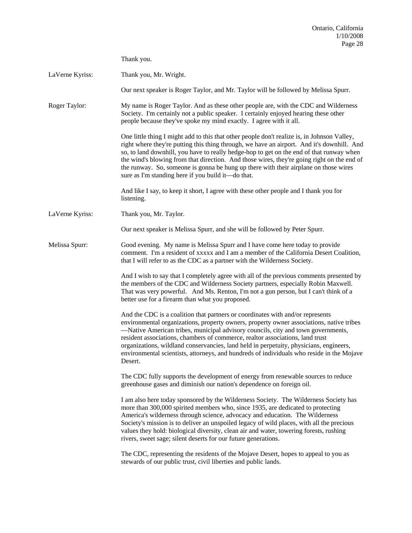|                 | Thank you.                                                                                                                                                                                                                                                                                                                                                                                                                                                                                                                                        |
|-----------------|---------------------------------------------------------------------------------------------------------------------------------------------------------------------------------------------------------------------------------------------------------------------------------------------------------------------------------------------------------------------------------------------------------------------------------------------------------------------------------------------------------------------------------------------------|
| LaVerne Kyriss: | Thank you, Mr. Wright.                                                                                                                                                                                                                                                                                                                                                                                                                                                                                                                            |
|                 | Our next speaker is Roger Taylor, and Mr. Taylor will be followed by Melissa Spurr.                                                                                                                                                                                                                                                                                                                                                                                                                                                               |
| Roger Taylor:   | My name is Roger Taylor. And as these other people are, with the CDC and Wilderness<br>Society. I'm certainly not a public speaker. I certainly enjoyed hearing these other<br>people because they've spoke my mind exactly. I agree with it all.                                                                                                                                                                                                                                                                                                 |
|                 | One little thing I might add to this that other people don't realize is, in Johnson Valley,<br>right where they're putting this thing through, we have an airport. And it's downhill. And<br>so, to land downhill, you have to really hedge-hop to get on the end of that runway when<br>the wind's blowing from that direction. And those wires, they're going right on the end of<br>the runway. So, someone is gonna be hung up there with their airplane on those wires<br>sure as I'm standing here if you build it—do that.                 |
|                 | And like I say, to keep it short, I agree with these other people and I thank you for<br>listening.                                                                                                                                                                                                                                                                                                                                                                                                                                               |
| LaVerne Kyriss: | Thank you, Mr. Taylor.                                                                                                                                                                                                                                                                                                                                                                                                                                                                                                                            |
|                 | Our next speaker is Melissa Spurr, and she will be followed by Peter Spurr.                                                                                                                                                                                                                                                                                                                                                                                                                                                                       |
| Melissa Spurr:  | Good evening. My name is Melissa Spurr and I have come here today to provide<br>comment. I'm a resident of xxxxx and I am a member of the California Desert Coalition,<br>that I will refer to as the CDC as a partner with the Wilderness Society.                                                                                                                                                                                                                                                                                               |
|                 | And I wish to say that I completely agree with all of the previous comments presented by<br>the members of the CDC and Wilderness Society partners, especially Robin Maxwell.<br>That was very powerful. And Ms. Renton, I'm not a gun person, but I can't think of a<br>better use for a firearm than what you proposed.                                                                                                                                                                                                                         |
|                 | And the CDC is a coalition that partners or coordinates with and/or represents<br>environmental organizations, property owners, property owner associations, native tribes<br>-Native American tribes, municipal advisory councils, city and town governments,<br>resident associations, chambers of commerce, realtor associations, land trust<br>organizations, wildland conservancies, land held in perpetuity, physicians, engineers,<br>environmental scientists, attorneys, and hundreds of individuals who reside in the Mojave<br>Desert. |
|                 | The CDC fully supports the development of energy from renewable sources to reduce<br>greenhouse gases and diminish our nation's dependence on foreign oil.                                                                                                                                                                                                                                                                                                                                                                                        |
|                 | I am also here today sponsored by the Wilderness Society. The Wilderness Society has<br>more than 300,000 spirited members who, since 1935, are dedicated to protecting<br>America's wilderness through science, advocacy and education. The Wilderness<br>Society's mission is to deliver an unspoiled legacy of wild places, with all the precious<br>values they hold: biological diversity, clean air and water, towering forests, rushing<br>rivers, sweet sage; silent deserts for our future generations.                                  |
|                 | The CDC, representing the residents of the Mojave Desert, hopes to appeal to you as<br>stewards of our public trust, civil liberties and public lands.                                                                                                                                                                                                                                                                                                                                                                                            |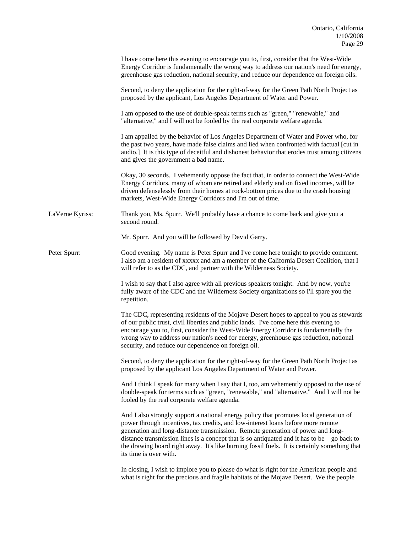|                 | I have come here this evening to encourage you to, first, consider that the West-Wide<br>Energy Corridor is fundamentally the wrong way to address our nation's need for energy,<br>greenhouse gas reduction, national security, and reduce our dependence on foreign oils.                                                                                                                                                                                                           |
|-----------------|---------------------------------------------------------------------------------------------------------------------------------------------------------------------------------------------------------------------------------------------------------------------------------------------------------------------------------------------------------------------------------------------------------------------------------------------------------------------------------------|
|                 | Second, to deny the application for the right-of-way for the Green Path North Project as<br>proposed by the applicant, Los Angeles Department of Water and Power.                                                                                                                                                                                                                                                                                                                     |
|                 | I am opposed to the use of double-speak terms such as "green," "renewable," and<br>"alternative," and I will not be fooled by the real corporate welfare agenda.                                                                                                                                                                                                                                                                                                                      |
|                 | I am appalled by the behavior of Los Angeles Department of Water and Power who, for<br>the past two years, have made false claims and lied when confronted with factual [cut in<br>audio.] It is this type of deceitful and dishonest behavior that erodes trust among citizens<br>and gives the government a bad name.                                                                                                                                                               |
|                 | Okay, 30 seconds. I vehemently oppose the fact that, in order to connect the West-Wide<br>Energy Corridors, many of whom are retired and elderly and on fixed incomes, will be<br>driven defenselessly from their homes at rock-bottom prices due to the crash housing<br>markets, West-Wide Energy Corridors and I'm out of time.                                                                                                                                                    |
| LaVerne Kyriss: | Thank you, Ms. Spurr. We'll probably have a chance to come back and give you a<br>second round.                                                                                                                                                                                                                                                                                                                                                                                       |
|                 | Mr. Spurr. And you will be followed by David Garry.                                                                                                                                                                                                                                                                                                                                                                                                                                   |
| Peter Spurr:    | Good evening. My name is Peter Spurr and I've come here tonight to provide comment.<br>I also am a resident of xxxxx and am a member of the California Desert Coalition, that I<br>will refer to as the CDC, and partner with the Wilderness Society.                                                                                                                                                                                                                                 |
|                 | I wish to say that I also agree with all previous speakers tonight. And by now, you're<br>fully aware of the CDC and the Wilderness Society organizations so I'll spare you the<br>repetition.                                                                                                                                                                                                                                                                                        |
|                 | The CDC, representing residents of the Mojave Desert hopes to appeal to you as stewards<br>of our public trust, civil liberties and public lands. I've come here this evening to<br>encourage you to, first, consider the West-Wide Energy Corridor is fundamentally the<br>wrong way to address our nation's need for energy, greenhouse gas reduction, national<br>security, and reduce our dependence on foreign oil.                                                              |
|                 | Second, to deny the application for the right-of-way for the Green Path North Project as<br>proposed by the applicant Los Angeles Department of Water and Power.                                                                                                                                                                                                                                                                                                                      |
|                 | And I think I speak for many when I say that I, too, am vehemently opposed to the use of<br>double-speak for terms such as "green, "renewable," and "alternative." And I will not be<br>fooled by the real corporate welfare agenda.                                                                                                                                                                                                                                                  |
|                 | And I also strongly support a national energy policy that promotes local generation of<br>power through incentives, tax credits, and low-interest loans before more remote<br>generation and long-distance transmission. Remote generation of power and long-<br>distance transmission lines is a concept that is so antiquated and it has to be—go back to<br>the drawing board right away. It's like burning fossil fuels. It is certainly something that<br>its time is over with. |
|                 | In closing, I wish to implore you to please do what is right for the American people and<br>what is right for the precious and fragile habitats of the Mojave Desert. We the people                                                                                                                                                                                                                                                                                                   |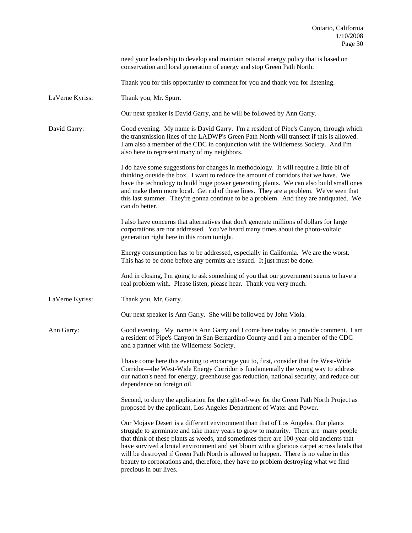|                 | need your leadership to develop and maintain rational energy policy that is based on<br>conservation and local generation of energy and stop Green Path North.                                                                                                                                                                                                                                                                                                                                                                                                              |
|-----------------|-----------------------------------------------------------------------------------------------------------------------------------------------------------------------------------------------------------------------------------------------------------------------------------------------------------------------------------------------------------------------------------------------------------------------------------------------------------------------------------------------------------------------------------------------------------------------------|
|                 | Thank you for this opportunity to comment for you and thank you for listening.                                                                                                                                                                                                                                                                                                                                                                                                                                                                                              |
| LaVerne Kyriss: | Thank you, Mr. Spurr.                                                                                                                                                                                                                                                                                                                                                                                                                                                                                                                                                       |
|                 | Our next speaker is David Garry, and he will be followed by Ann Garry.                                                                                                                                                                                                                                                                                                                                                                                                                                                                                                      |
| David Garry:    | Good evening. My name is David Garry. I'm a resident of Pipe's Canyon, through which<br>the transmission lines of the LADWP's Green Path North will transect if this is allowed.<br>I am also a member of the CDC in conjunction with the Wilderness Society. And I'm<br>also here to represent many of my neighbors.                                                                                                                                                                                                                                                       |
|                 | I do have some suggestions for changes in methodology. It will require a little bit of<br>thinking outside the box. I want to reduce the amount of corridors that we have. We<br>have the technology to build huge power generating plants. We can also build small ones<br>and make them more local. Get rid of these lines. They are a problem. We've seen that<br>this last summer. They're gonna continue to be a problem. And they are antiquated. We<br>can do better.                                                                                                |
|                 | I also have concerns that alternatives that don't generate millions of dollars for large<br>corporations are not addressed. You've heard many times about the photo-voltaic<br>generation right here in this room tonight.                                                                                                                                                                                                                                                                                                                                                  |
|                 | Energy consumption has to be addressed, especially in California. We are the worst.<br>This has to be done before any permits are issued. It just must be done.                                                                                                                                                                                                                                                                                                                                                                                                             |
|                 | And in closing, I'm going to ask something of you that our government seems to have a<br>real problem with. Please listen, please hear. Thank you very much.                                                                                                                                                                                                                                                                                                                                                                                                                |
| LaVerne Kyriss: | Thank you, Mr. Garry.                                                                                                                                                                                                                                                                                                                                                                                                                                                                                                                                                       |
|                 | Our next speaker is Ann Garry. She will be followed by John Viola.                                                                                                                                                                                                                                                                                                                                                                                                                                                                                                          |
| Ann Garry:      | Good evening. My name is Ann Garry and I come here today to provide comment. I am<br>a resident of Pipe's Canyon in San Bernardino County and I am a member of the CDC<br>and a partner with the Wilderness Society.                                                                                                                                                                                                                                                                                                                                                        |
|                 | I have come here this evening to encourage you to, first, consider that the West-Wide<br>Corridor-the West-Wide Energy Corridor is fundamentally the wrong way to address<br>our nation's need for energy, greenhouse gas reduction, national security, and reduce our<br>dependence on foreign oil.                                                                                                                                                                                                                                                                        |
|                 | Second, to deny the application for the right-of-way for the Green Path North Project as<br>proposed by the applicant, Los Angeles Department of Water and Power.                                                                                                                                                                                                                                                                                                                                                                                                           |
|                 | Our Mojave Desert is a different environment than that of Los Angeles. Our plants<br>struggle to germinate and take many years to grow to maturity. There are many people<br>that think of these plants as weeds, and sometimes there are 100-year-old ancients that<br>have survived a brutal environment and yet bloom with a glorious carpet across lands that<br>will be destroyed if Green Path North is allowed to happen. There is no value in this<br>beauty to corporations and, therefore, they have no problem destroying what we find<br>precious in our lives. |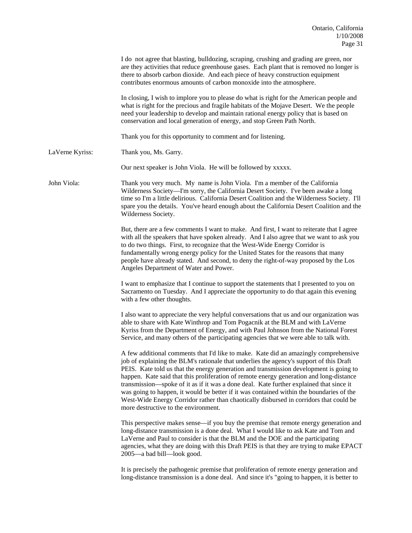|                 | I do not agree that blasting, bulldozing, scraping, crushing and grading are green, nor<br>are they activities that reduce greenhouse gases. Each plant that is removed no longer is<br>there to absorb carbon dioxide. And each piece of heavy construction equipment<br>contributes enormous amounts of carbon monoxide into the atmosphere.                                                                                                                                                                                                                                                                                                                                                |
|-----------------|-----------------------------------------------------------------------------------------------------------------------------------------------------------------------------------------------------------------------------------------------------------------------------------------------------------------------------------------------------------------------------------------------------------------------------------------------------------------------------------------------------------------------------------------------------------------------------------------------------------------------------------------------------------------------------------------------|
|                 | In closing, I wish to implore you to please do what is right for the American people and<br>what is right for the precious and fragile habitats of the Mojave Desert. We the people<br>need your leadership to develop and maintain rational energy policy that is based on<br>conservation and local generation of energy, and stop Green Path North.                                                                                                                                                                                                                                                                                                                                        |
|                 | Thank you for this opportunity to comment and for listening.                                                                                                                                                                                                                                                                                                                                                                                                                                                                                                                                                                                                                                  |
| LaVerne Kyriss: | Thank you, Ms. Garry.                                                                                                                                                                                                                                                                                                                                                                                                                                                                                                                                                                                                                                                                         |
|                 | Our next speaker is John Viola. He will be followed by xxxxx.                                                                                                                                                                                                                                                                                                                                                                                                                                                                                                                                                                                                                                 |
| John Viola:     | Thank you very much. My name is John Viola. I'm a member of the California<br>Wilderness Society—I'm sorry, the California Desert Society. I've been awake a long<br>time so I'm a little delirious. California Desert Coalition and the Wilderness Society. I'll<br>spare you the details. You've heard enough about the California Desert Coalition and the<br>Wilderness Society.                                                                                                                                                                                                                                                                                                          |
|                 | But, there are a few comments I want to make. And first, I want to reiterate that I agree<br>with all the speakers that have spoken already. And I also agree that we want to ask you<br>to do two things. First, to recognize that the West-Wide Energy Corridor is<br>fundamentally wrong energy policy for the United States for the reasons that many<br>people have already stated. And second, to deny the right-of-way proposed by the Los<br>Angeles Department of Water and Power.                                                                                                                                                                                                   |
|                 | I want to emphasize that I continue to support the statements that I presented to you on<br>Sacramento on Tuesday. And I appreciate the opportunity to do that again this evening<br>with a few other thoughts.                                                                                                                                                                                                                                                                                                                                                                                                                                                                               |
|                 | I also want to appreciate the very helpful conversations that us and our organization was<br>able to share with Kate Winthrop and Tom Pogacnik at the BLM and with LaVerne<br>Kyriss from the Department of Energy, and with Paul Johnson from the National Forest<br>Service, and many others of the participating agencies that we were able to talk with.                                                                                                                                                                                                                                                                                                                                  |
|                 | A few additional comments that I'd like to make. Kate did an amazingly comprehensive<br>job of explaining the BLM's rationale that underlies the agency's support of this Draft<br>PEIS. Kate told us that the energy generation and transmission development is going to<br>happen. Kate said that this proliferation of remote energy generation and long-distance<br>transmission—spoke of it as if it was a done deal. Kate further explained that since it<br>was going to happen, it would be better if it was contained within the boundaries of the<br>West-Wide Energy Corridor rather than chaotically disbursed in corridors that could be<br>more destructive to the environment. |
|                 | This perspective makes sense—if you buy the premise that remote energy generation and<br>long-distance transmission is a done deal. What I would like to ask Kate and Tom and<br>LaVerne and Paul to consider is that the BLM and the DOE and the participating<br>agencies, what they are doing with this Draft PEIS is that they are trying to make EPACT<br>2005-a bad bill-look good.                                                                                                                                                                                                                                                                                                     |
|                 | It is precisely the pathogenic premise that proliferation of remote energy generation and<br>long-distance transmission is a done deal. And since it's "going to happen, it is better to                                                                                                                                                                                                                                                                                                                                                                                                                                                                                                      |
|                 |                                                                                                                                                                                                                                                                                                                                                                                                                                                                                                                                                                                                                                                                                               |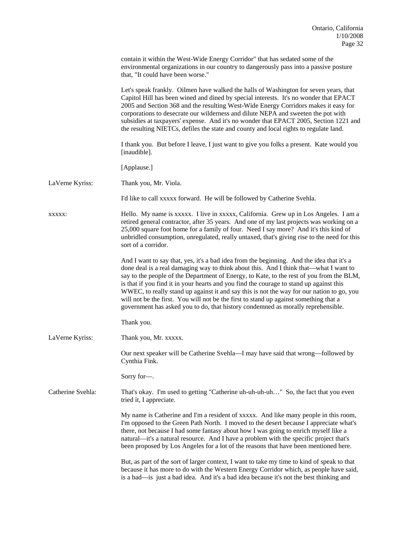|                   | contain it within the West-Wide Energy Corridor" that has sedated some of the<br>environmental organizations in our country to dangerously pass into a passive posture<br>that, "It could have been worse."                                                                                                                                                                                                                                                                                                                                                                                                                                         |
|-------------------|-----------------------------------------------------------------------------------------------------------------------------------------------------------------------------------------------------------------------------------------------------------------------------------------------------------------------------------------------------------------------------------------------------------------------------------------------------------------------------------------------------------------------------------------------------------------------------------------------------------------------------------------------------|
|                   | Let's speak frankly. Oilmen have walked the halls of Washington for seven years, that<br>Capitol Hill has been wined and dined by special interests. It's no wonder that EPACT<br>2005 and Section 368 and the resulting West-Wide Energy Corridors makes it easy for<br>corporations to desecrate our wilderness and dilute NEPA and sweeten the pot with<br>subsidies at taxpayers' expense. And it's no wonder that EPACT 2005, Section 1221 and<br>the resulting NIETCs, defiles the state and county and local rights to regulate land.                                                                                                        |
|                   | I thank you. But before I leave, I just want to give you folks a present. Kate would you<br>[inaudible].                                                                                                                                                                                                                                                                                                                                                                                                                                                                                                                                            |
|                   | [Applause.]                                                                                                                                                                                                                                                                                                                                                                                                                                                                                                                                                                                                                                         |
| LaVerne Kyriss:   | Thank you, Mr. Viola.                                                                                                                                                                                                                                                                                                                                                                                                                                                                                                                                                                                                                               |
|                   | I'd like to call xxxxx forward. He will be followed by Catherine Svehla.                                                                                                                                                                                                                                                                                                                                                                                                                                                                                                                                                                            |
| XXXXX:            | Hello. My name is xxxxx. I live in xxxxx, California. Grew up in Los Angeles. I am a<br>retired general contractor, after 35 years. And one of my last projects was working on a<br>25,000 square foot home for a family of four. Need I say more? And it's this kind of<br>unbridled consumption, unregulated, really untaxed, that's giving rise to the need for this<br>sort of a corridor.                                                                                                                                                                                                                                                      |
|                   | And I want to say that, yes, it's a bad idea from the beginning. And the idea that it's a<br>done deal is a real damaging way to think about this. And I think that—what I want to<br>say to the people of the Department of Energy, to Kate, to the rest of you from the BLM,<br>is that if you find it in your hearts and you find the courage to stand up against this<br>WWEC, to really stand up against it and say this is not the way for our nation to go, you<br>will not be the first. You will not be the first to stand up against something that a<br>government has asked you to do, that history condemned as morally reprehensible. |
|                   | Thank you.                                                                                                                                                                                                                                                                                                                                                                                                                                                                                                                                                                                                                                          |
| LaVerne Kyriss:   | Thank you, Mr. xxxxx.                                                                                                                                                                                                                                                                                                                                                                                                                                                                                                                                                                                                                               |
|                   | Our next speaker will be Catherine Svehla—I may have said that wrong—followed by<br>Cynthia Fink.                                                                                                                                                                                                                                                                                                                                                                                                                                                                                                                                                   |
|                   | Sorry for-                                                                                                                                                                                                                                                                                                                                                                                                                                                                                                                                                                                                                                          |
| Catherine Svehla: | That's okay. I'm used to getting "Catherine uh-uh-uh-uh" So, the fact that you even<br>tried it, I appreciate.                                                                                                                                                                                                                                                                                                                                                                                                                                                                                                                                      |
|                   | My name is Catherine and I'm a resident of xxxxx. And like many people in this room,<br>I'm opposed to the Green Path North. I moved to the desert because I appreciate what's<br>there, not because I had some fantasy about how I was going to enrich myself like a<br>natural—it's a natural resource. And I have a problem with the specific project that's<br>been proposed by Los Angeles for a lot of the reasons that have been mentioned here.                                                                                                                                                                                             |
|                   | But, as part of the sort of larger context, I want to take my time to kind of speak to that<br>because it has more to do with the Western Energy Corridor which, as people have said,<br>is a bad—is just a bad idea. And it's a bad idea because it's not the best thinking and                                                                                                                                                                                                                                                                                                                                                                    |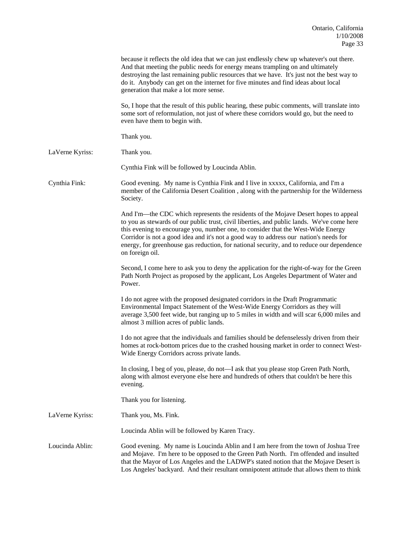|                 | because it reflects the old idea that we can just endlessly chew up whatever's out there.<br>And that meeting the public needs for energy means trampling on and ultimately<br>destroying the last remaining public resources that we have. It's just not the best way to<br>do it. Anybody can get on the internet for five minutes and find ideas about local<br>generation that make a lot more sense.                                                                      |
|-----------------|--------------------------------------------------------------------------------------------------------------------------------------------------------------------------------------------------------------------------------------------------------------------------------------------------------------------------------------------------------------------------------------------------------------------------------------------------------------------------------|
|                 | So, I hope that the result of this public hearing, these pubic comments, will translate into<br>some sort of reformulation, not just of where these corridors would go, but the need to<br>even have them to begin with.                                                                                                                                                                                                                                                       |
|                 | Thank you.                                                                                                                                                                                                                                                                                                                                                                                                                                                                     |
| LaVerne Kyriss: | Thank you.                                                                                                                                                                                                                                                                                                                                                                                                                                                                     |
|                 | Cynthia Fink will be followed by Loucinda Ablin.                                                                                                                                                                                                                                                                                                                                                                                                                               |
| Cynthia Fink:   | Good evening. My name is Cynthia Fink and I live in xxxxx, California, and I'm a<br>member of the California Desert Coalition, along with the partnership for the Wilderness<br>Society.                                                                                                                                                                                                                                                                                       |
|                 | And I'm—the CDC which represents the residents of the Mojave Desert hopes to appeal<br>to you as stewards of our public trust, civil liberties, and public lands. We've come here<br>this evening to encourage you, number one, to consider that the West-Wide Energy<br>Corridor is not a good idea and it's not a good way to address our nation's needs for<br>energy, for greenhouse gas reduction, for national security, and to reduce our dependence<br>on foreign oil. |
|                 | Second, I come here to ask you to deny the application for the right-of-way for the Green<br>Path North Project as proposed by the applicant, Los Angeles Department of Water and<br>Power.                                                                                                                                                                                                                                                                                    |
|                 | I do not agree with the proposed designated corridors in the Draft Programmatic<br>Environmental Impact Statement of the West-Wide Energy Corridors as they will<br>average 3,500 feet wide, but ranging up to 5 miles in width and will scar 6,000 miles and<br>almost 3 million acres of public lands.                                                                                                                                                                       |
|                 | I do not agree that the individuals and families should be defenselessly driven from their<br>homes at rock-bottom prices due to the crashed housing market in order to connect West-<br>Wide Energy Corridors across private lands.                                                                                                                                                                                                                                           |
|                 | In closing, I beg of you, please, do not-I ask that you please stop Green Path North,<br>along with almost everyone else here and hundreds of others that couldn't be here this<br>evening.                                                                                                                                                                                                                                                                                    |
|                 | Thank you for listening.                                                                                                                                                                                                                                                                                                                                                                                                                                                       |
| LaVerne Kyriss: | Thank you, Ms. Fink.                                                                                                                                                                                                                                                                                                                                                                                                                                                           |
|                 | Loucinda Ablin will be followed by Karen Tracy.                                                                                                                                                                                                                                                                                                                                                                                                                                |
| Loucinda Ablin: | Good evening. My name is Loucinda Ablin and I am here from the town of Joshua Tree<br>and Mojave. I'm here to be opposed to the Green Path North. I'm offended and insulted<br>that the Mayor of Los Angeles and the LADWP's stated notion that the Mojave Desert is<br>Los Angeles' backyard. And their resultant omnipotent attitude that allows them to think                                                                                                               |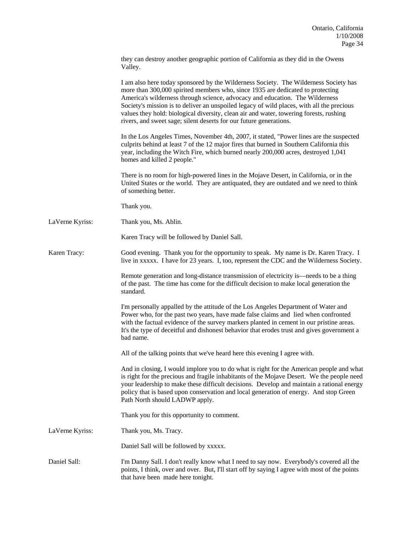|                 | they can destroy another geographic portion of California as they did in the Owens<br>Valley.                                                                                                                                                                                                                                                                                                                                                                                                                       |
|-----------------|---------------------------------------------------------------------------------------------------------------------------------------------------------------------------------------------------------------------------------------------------------------------------------------------------------------------------------------------------------------------------------------------------------------------------------------------------------------------------------------------------------------------|
|                 | I am also here today sponsored by the Wilderness Society. The Wilderness Society has<br>more than 300,000 spirited members who, since 1935 are dedicated to protecting<br>America's wilderness through science, advocacy and education. The Wilderness<br>Society's mission is to deliver an unspoiled legacy of wild places, with all the precious<br>values they hold: biological diversity, clean air and water, towering forests, rushing<br>rivers, and sweet sage; silent deserts for our future generations. |
|                 | In the Los Angeles Times, November 4th, 2007, it stated, "Power lines are the suspected<br>culprits behind at least 7 of the 12 major fires that burned in Southern California this<br>year, including the Witch Fire, which burned nearly 200,000 acres, destroyed 1,041<br>homes and killed 2 people."                                                                                                                                                                                                            |
|                 | There is no room for high-powered lines in the Mojave Desert, in California, or in the<br>United States or the world. They are antiquated, they are outdated and we need to think<br>of something better.                                                                                                                                                                                                                                                                                                           |
|                 | Thank you.                                                                                                                                                                                                                                                                                                                                                                                                                                                                                                          |
| LaVerne Kyriss: | Thank you, Ms. Ablin.                                                                                                                                                                                                                                                                                                                                                                                                                                                                                               |
|                 | Karen Tracy will be followed by Daniel Sall.                                                                                                                                                                                                                                                                                                                                                                                                                                                                        |
| Karen Tracy:    | Good evening. Thank you for the opportunity to speak. My name is Dr. Karen Tracy. I<br>live in xxxxx. I have for 23 years. I, too, represent the CDC and the Wilderness Society.                                                                                                                                                                                                                                                                                                                                    |
|                 | Remote generation and long-distance transmission of electricity is—needs to be a thing<br>of the past. The time has come for the difficult decision to make local generation the<br>standard.                                                                                                                                                                                                                                                                                                                       |
|                 | I'm personally appalled by the attitude of the Los Angeles Department of Water and<br>Power who, for the past two years, have made false claims and lied when confronted<br>with the factual evidence of the survey markers planted in cement in our pristine areas.<br>It's the type of deceitful and dishonest behavior that erodes trust and gives government a<br>bad name.                                                                                                                                     |
|                 | All of the talking points that we've heard here this evening I agree with.                                                                                                                                                                                                                                                                                                                                                                                                                                          |
|                 | And in closing, I would implore you to do what is right for the American people and what<br>is right for the precious and fragile inhabitants of the Mojave Desert. We the people need<br>your leadership to make these difficult decisions. Develop and maintain a rational energy<br>policy that is based upon conservation and local generation of energy. And stop Green<br>Path North should LADWP apply.                                                                                                      |
|                 | Thank you for this opportunity to comment.                                                                                                                                                                                                                                                                                                                                                                                                                                                                          |
| LaVerne Kyriss: | Thank you, Ms. Tracy.                                                                                                                                                                                                                                                                                                                                                                                                                                                                                               |
|                 | Daniel Sall will be followed by xxxxx.                                                                                                                                                                                                                                                                                                                                                                                                                                                                              |
| Daniel Sall:    | I'm Danny Sall. I don't really know what I need to say now. Everybody's covered all the<br>points, I think, over and over. But, I'll start off by saying I agree with most of the points<br>that have been made here tonight.                                                                                                                                                                                                                                                                                       |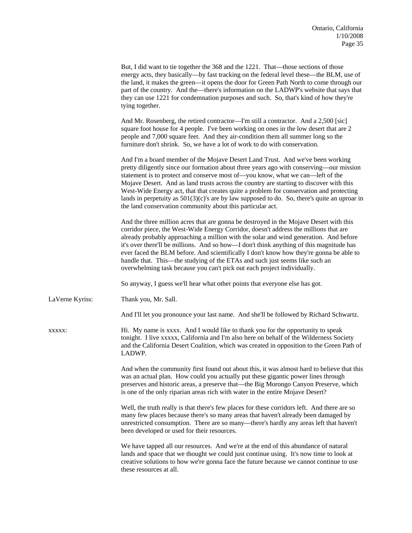|                 | But, I did want to tie together the 368 and the 1221. That—those sections of those<br>energy acts, they basically—by fast tracking on the federal level these—the BLM, use of<br>the land, it makes the green—it opens the door for Green Path North to come through our<br>part of the country. And the—there's information on the LADWP's website that says that<br>they can use 1221 for condemnation purposes and such. So, that's kind of how they're<br>tying together.                                                                                                                                           |
|-----------------|-------------------------------------------------------------------------------------------------------------------------------------------------------------------------------------------------------------------------------------------------------------------------------------------------------------------------------------------------------------------------------------------------------------------------------------------------------------------------------------------------------------------------------------------------------------------------------------------------------------------------|
|                 | And Mr. Rosenberg, the retired contractor—I'm still a contractor. And a 2,500 [sic]<br>square foot house for 4 people. I've been working on ones in the low desert that are 2<br>people and 7,000 square feet. And they air-condition them all summer long so the<br>furniture don't shrink. So, we have a lot of work to do with conservation.                                                                                                                                                                                                                                                                         |
|                 | And I'm a board member of the Mojave Desert Land Trust. And we've been working<br>pretty diligently since our formation about three years ago with conserving—our mission<br>statement is to protect and conserve most of-you know, what we can-left of the<br>Mojave Desert. And as land trusts across the country are starting to discover with this<br>West-Wide Energy act, that that creates quite a problem for conservation and protecting<br>lands in perpetuity as $501(3)(c)$ 's are by law supposed to do. So, there's quite an uproar in<br>the land conservation community about this particular act.      |
|                 | And the three million acres that are gonna be destroyed in the Mojave Desert with this<br>corridor piece, the West-Wide Energy Corridor, doesn't address the millions that are<br>already probably approaching a million with the solar and wind generation. And before<br>it's over the rell be millions. And so how—I don't think anything of this magnitude has<br>ever faced the BLM before. And scientifically I don't know how they're gonna be able to<br>handle that. This—the studying of the ETAs and such just seems like such an<br>overwhelming task because you can't pick out each project individually. |
|                 | So anyway, I guess we'll hear what other points that everyone else has got.                                                                                                                                                                                                                                                                                                                                                                                                                                                                                                                                             |
| LaVerne Kyriss: | Thank you, Mr. Sall.                                                                                                                                                                                                                                                                                                                                                                                                                                                                                                                                                                                                    |
|                 | And I'll let you pronounce your last name. And she'll be followed by Richard Schwartz.                                                                                                                                                                                                                                                                                                                                                                                                                                                                                                                                  |
| XXXXXX          | Hi. My name is xxxx. And I would like to thank you for the opportunity to speak<br>tonight. I live xxxxx, California and I'm also here on behalf of the Wilderness Society<br>and the California Desert Coalition, which was created in opposition to the Green Path of<br>LADWP.                                                                                                                                                                                                                                                                                                                                       |
|                 | And when the community first found out about this, it was almost hard to believe that this<br>was an actual plan. How could you actually put these gigantic power lines through<br>preserves and historic areas, a preserve that—the Big Morongo Canyon Preserve, which<br>is one of the only riparian areas rich with water in the entire Mojave Desert?                                                                                                                                                                                                                                                               |
|                 | Well, the truth really is that there's few places for these corridors left. And there are so<br>many few places because there's so many areas that haven't already been damaged by<br>unrestricted consumption. There are so many—there's hardly any areas left that haven't<br>been developed or used for their resources.                                                                                                                                                                                                                                                                                             |
|                 | We have tapped all our resources. And we're at the end of this abundance of natural<br>lands and space that we thought we could just continue using. It's now time to look at<br>creative solutions to how we're gonna face the future because we cannot continue to use<br>these resources at all.                                                                                                                                                                                                                                                                                                                     |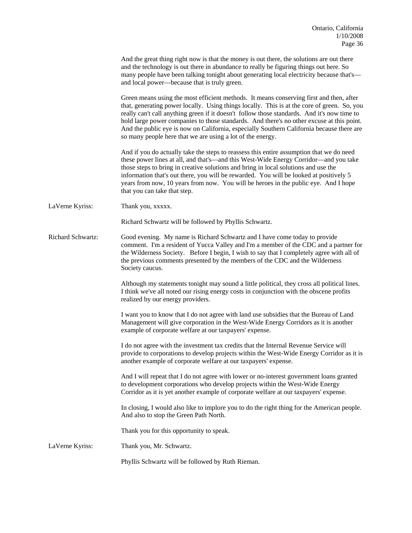|                          | And the great thing right now is that the money is out there, the solutions are out there<br>and the technology is out there in abundance to really be figuring things out here. So<br>many people have been talking tonight about generating local electricity because that's—<br>and local power—because that is truly green.                                                                                                                                                                                                               |
|--------------------------|-----------------------------------------------------------------------------------------------------------------------------------------------------------------------------------------------------------------------------------------------------------------------------------------------------------------------------------------------------------------------------------------------------------------------------------------------------------------------------------------------------------------------------------------------|
|                          | Green means using the most efficient methods. It means conserving first and then, after<br>that, generating power locally. Using things locally. This is at the core of green. So, you<br>really can't call anything green if it doesn't follow those standards. And it's now time to<br>hold large power companies to those standards. And there's no other excuse at this point.<br>And the public eye is now on California, especially Southern California because there are<br>so many people here that we are using a lot of the energy. |
|                          | And if you do actually take the steps to reassess this entire assumption that we do need<br>these power lines at all, and that's—and this West-Wide Energy Corridor—and you take<br>those steps to bring in creative solutions and bring in local solutions and use the<br>information that's out there, you will be rewarded. You will be looked at positively 5<br>years from now, 10 years from now. You will be heroes in the public eye. And I hope<br>that you can take that step.                                                      |
| LaVerne Kyriss:          | Thank you, xxxxx.                                                                                                                                                                                                                                                                                                                                                                                                                                                                                                                             |
|                          | Richard Schwartz will be followed by Phyllis Schwartz.                                                                                                                                                                                                                                                                                                                                                                                                                                                                                        |
| <b>Richard Schwartz:</b> | Good evening. My name is Richard Schwartz and I have come today to provide<br>comment. I'm a resident of Yucca Valley and I'm a member of the CDC and a partner for<br>the Wilderness Society. Before I begin, I wish to say that I completely agree with all of<br>the previous comments presented by the members of the CDC and the Wilderness<br>Society caucus.                                                                                                                                                                           |
|                          | Although my statements tonight may sound a little political, they cross all political lines.<br>I think we've all noted our rising energy costs in conjunction with the obscene profits<br>realized by our energy providers.                                                                                                                                                                                                                                                                                                                  |
|                          | I want you to know that I do not agree with land use subsidies that the Bureau of Land<br>Management will give corporation in the West-Wide Energy Corridors as it is another<br>example of corporate welfare at our taxpayers' expense.                                                                                                                                                                                                                                                                                                      |
|                          | I do not agree with the investment tax credits that the Internal Revenue Service will<br>provide to corporations to develop projects within the West-Wide Energy Corridor as it is<br>another example of corporate welfare at our taxpayers' expense.                                                                                                                                                                                                                                                                                         |
|                          | And I will repeat that I do not agree with lower or no-interest government loans granted<br>to development corporations who develop projects within the West-Wide Energy<br>Corridor as it is yet another example of corporate welfare at our taxpayers' expense.                                                                                                                                                                                                                                                                             |
|                          | In closing, I would also like to implore you to do the right thing for the American people.<br>And also to stop the Green Path North.                                                                                                                                                                                                                                                                                                                                                                                                         |
|                          | Thank you for this opportunity to speak.                                                                                                                                                                                                                                                                                                                                                                                                                                                                                                      |
| LaVerne Kyriss:          | Thank you, Mr. Schwartz.                                                                                                                                                                                                                                                                                                                                                                                                                                                                                                                      |
|                          | Phyllis Schwartz will be followed by Ruth Rieman.                                                                                                                                                                                                                                                                                                                                                                                                                                                                                             |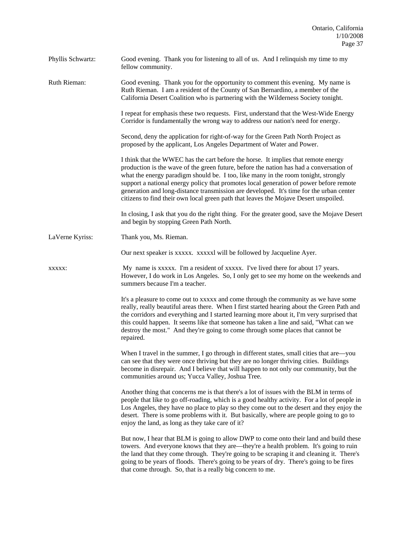| Phyllis Schwartz: | Good evening. Thank you for listening to all of us. And I relinquish my time to my<br>fellow community.                                                                                                                                                                                                                                                                                                                                                                                                                                          |
|-------------------|--------------------------------------------------------------------------------------------------------------------------------------------------------------------------------------------------------------------------------------------------------------------------------------------------------------------------------------------------------------------------------------------------------------------------------------------------------------------------------------------------------------------------------------------------|
| Ruth Rieman:      | Good evening. Thank you for the opportunity to comment this evening. My name is<br>Ruth Rieman. I am a resident of the County of San Bernardino, a member of the<br>California Desert Coalition who is partnering with the Wilderness Society tonight.                                                                                                                                                                                                                                                                                           |
|                   | I repeat for emphasis these two requests. First, understand that the West-Wide Energy<br>Corridor is fundamentally the wrong way to address our nation's need for energy.                                                                                                                                                                                                                                                                                                                                                                        |
|                   | Second, deny the application for right-of-way for the Green Path North Project as<br>proposed by the applicant, Los Angeles Department of Water and Power.                                                                                                                                                                                                                                                                                                                                                                                       |
|                   | I think that the WWEC has the cart before the horse. It implies that remote energy<br>production is the wave of the green future, before the nation has had a conversation of<br>what the energy paradigm should be. I too, like many in the room tonight, strongly<br>support a national energy policy that promotes local generation of power before remote<br>generation and long-distance transmission are developed. It's time for the urban center<br>citizens to find their own local green path that leaves the Mojave Desert unspoiled. |
|                   | In closing, I ask that you do the right thing. For the greater good, save the Mojave Desert<br>and begin by stopping Green Path North.                                                                                                                                                                                                                                                                                                                                                                                                           |
| LaVerne Kyriss:   | Thank you, Ms. Rieman.                                                                                                                                                                                                                                                                                                                                                                                                                                                                                                                           |
|                   | Our next speaker is xxxxx. xxxxxl will be followed by Jacqueline Ayer.                                                                                                                                                                                                                                                                                                                                                                                                                                                                           |
| XXXXX:            | My name is xxxxx. I'm a resident of xxxxx. I've lived there for about 17 years.<br>However, I do work in Los Angeles. So, I only get to see my home on the weekends and<br>summers because I'm a teacher.                                                                                                                                                                                                                                                                                                                                        |
|                   | It's a pleasure to come out to xxxxx and come through the community as we have some<br>really, really beautiful areas there. When I first started hearing about the Green Path and<br>the corridors and everything and I started learning more about it, I'm very surprised that<br>this could happen. It seems like that someone has taken a line and said, "What can we<br>destroy the most." And they're going to come through some places that cannot be<br>repaired.                                                                        |
|                   | When I travel in the summer, I go through in different states, small cities that are—you<br>can see that they were once thriving but they are no longer thriving cities. Buildings<br>become in disrepair. And I believe that will happen to not only our community, but the<br>communities around us; Yucca Valley, Joshua Tree.                                                                                                                                                                                                                |
|                   | Another thing that concerns me is that there's a lot of issues with the BLM in terms of<br>people that like to go off-roading, which is a good healthy activity. For a lot of people in<br>Los Angeles, they have no place to play so they come out to the desert and they enjoy the<br>desert. There is some problems with it. But basically, where are people going to go to<br>enjoy the land, as long as they take care of it?                                                                                                               |
|                   | But now, I hear that BLM is going to allow DWP to come onto their land and build these<br>towers. And everyone knows that they are—they're a health problem. It's going to ruin<br>the land that they come through. They're going to be scraping it and cleaning it. There's<br>going to be years of floods. There's going to be years of dry. There's going to be fires<br>that come through. So, that is a really big concern to me.                                                                                                           |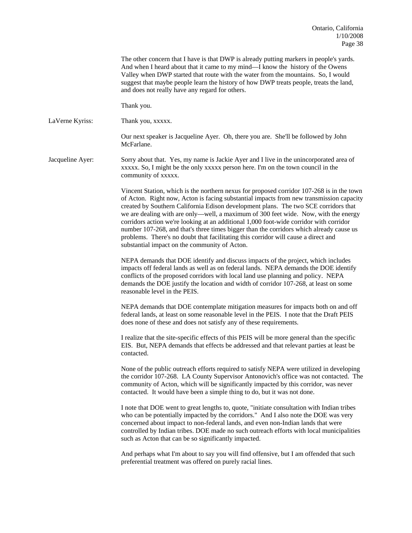The other concern that I have is that DWP is already putting markers in people's yards. And when I heard about that it came to my mind—I know the history of the Owens Valley when DWP started that route with the water from the mountains. So, I would suggest that maybe people learn the history of how DWP treats people, treats the land, and does not really have any regard for others.

Thank you.

LaVerne Kyriss: Thank you, xxxxx.

 Our next speaker is Jacqueline Ayer. Oh, there you are. She'll be followed by John McFarlane.

Jacqueline Ayer: Sorry about that. Yes, my name is Jackie Ayer and I live in the unincorporated area of xxxxx. So, I might be the only xxxxx person here. I'm on the town council in the community of xxxxx.

> Vincent Station, which is the northern nexus for proposed corridor 107-268 is in the town of Acton. Right now, Acton is facing substantial impacts from new transmission capacity created by Southern California Edison development plans. The two SCE corridors that we are dealing with are only—well, a maximum of 300 feet wide. Now, with the energy corridors action we're looking at an additional 1,000 foot-wide corridor with corridor number 107-268, and that's three times bigger than the corridors which already cause us problems. There's no doubt that facilitating this corridor will cause a direct and substantial impact on the community of Acton.

NEPA demands that DOE identify and discuss impacts of the project, which includes impacts off federal lands as well as on federal lands. NEPA demands the DOE identify conflicts of the proposed corridors with local land use planning and policy. NEPA demands the DOE justify the location and width of corridor 107-268, at least on some reasonable level in the PEIS.

NEPA demands that DOE contemplate mitigation measures for impacts both on and off federal lands, at least on some reasonable level in the PEIS. I note that the Draft PEIS does none of these and does not satisfy any of these requirements.

I realize that the site-specific effects of this PEIS will be more general than the specific EIS. But, NEPA demands that effects be addressed and that relevant parties at least be contacted.

None of the public outreach efforts required to satisfy NEPA were utilized in developing the corridor 107-268. LA County Supervisor Antonovich's office was not contacted. The community of Acton, which will be significantly impacted by this corridor, was never contacted. It would have been a simple thing to do, but it was not done.

I note that DOE went to great lengths to, quote, "initiate consultation with Indian tribes who can be potentially impacted by the corridors." And I also note the DOE was very concerned about impact to non-federal lands, and even non-Indian lands that were controlled by Indian tribes. DOE made no such outreach efforts with local municipalities such as Acton that can be so significantly impacted.

And perhaps what I'm about to say you will find offensive, but I am offended that such preferential treatment was offered on purely racial lines.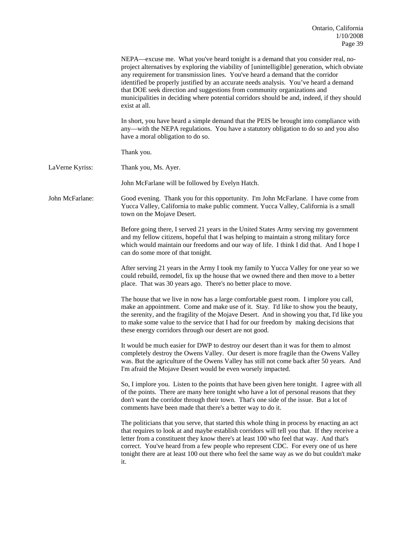|                 | NEPA—excuse me. What you've heard tonight is a demand that you consider real, no-<br>project alternatives by exploring the viability of [unintelligible] generation, which obviate<br>any requirement for transmission lines. You've heard a demand that the corridor<br>identified be properly justified by an accurate needs analysis. You've heard a demand<br>that DOE seek direction and suggestions from community organizations and<br>municipalities in deciding where potential corridors should be and, indeed, if they should<br>exist at all. |
|-----------------|-----------------------------------------------------------------------------------------------------------------------------------------------------------------------------------------------------------------------------------------------------------------------------------------------------------------------------------------------------------------------------------------------------------------------------------------------------------------------------------------------------------------------------------------------------------|
|                 | In short, you have heard a simple demand that the PEIS be brought into compliance with<br>any—with the NEPA regulations. You have a statutory obligation to do so and you also<br>have a moral obligation to do so.                                                                                                                                                                                                                                                                                                                                       |
|                 | Thank you.                                                                                                                                                                                                                                                                                                                                                                                                                                                                                                                                                |
| LaVerne Kyriss: | Thank you, Ms. Ayer.                                                                                                                                                                                                                                                                                                                                                                                                                                                                                                                                      |
|                 | John McFarlane will be followed by Evelyn Hatch.                                                                                                                                                                                                                                                                                                                                                                                                                                                                                                          |
| John McFarlane: | Good evening. Thank you for this opportunity. I'm John McFarlane. I have come from<br>Yucca Valley, California to make public comment. Yucca Valley, California is a small<br>town on the Mojave Desert.                                                                                                                                                                                                                                                                                                                                                  |
|                 | Before going there, I served 21 years in the United States Army serving my government<br>and my fellow citizens, hopeful that I was helping to maintain a strong military force<br>which would maintain our freedoms and our way of life. I think I did that. And I hope I<br>can do some more of that tonight.                                                                                                                                                                                                                                           |
|                 | After serving 21 years in the Army I took my family to Yucca Valley for one year so we<br>could rebuild, remodel, fix up the house that we owned there and then move to a better<br>place. That was 30 years ago. There's no better place to move.                                                                                                                                                                                                                                                                                                        |
|                 | The house that we live in now has a large comfortable guest room. I implore you call,<br>make an appointment. Come and make use of it. Stay. I'd like to show you the beauty,<br>the serenity, and the fragility of the Mojave Desert. And in showing you that, I'd like you<br>to make some value to the service that I had for our freedom by making decisions that<br>these energy corridors through our desert are not good.                                                                                                                          |
|                 | It would be much easier for DWP to destroy our desert than it was for them to almost<br>completely destroy the Owens Valley. Our desert is more fragile than the Owens Valley<br>was. But the agriculture of the Owens Valley has still not come back after 50 years. And<br>I'm afraid the Mojave Desert would be even worsely impacted.                                                                                                                                                                                                                 |
|                 | So, I implore you. Listen to the points that have been given here tonight. I agree with all<br>of the points. There are many here tonight who have a lot of personal reasons that they<br>don't want the corridor through their town. That's one side of the issue. But a lot of<br>comments have been made that there's a better way to do it.                                                                                                                                                                                                           |
|                 | The politicians that you serve, that started this whole thing in process by enacting an act<br>that requires to look at and maybe establish corridors will tell you that. If they receive a<br>letter from a constituent they know there's at least 100 who feel that way. And that's<br>correct. You've heard from a few people who represent CDC. For every one of us here<br>tonight there are at least 100 out there who feel the same way as we do but couldn't make<br>it.                                                                          |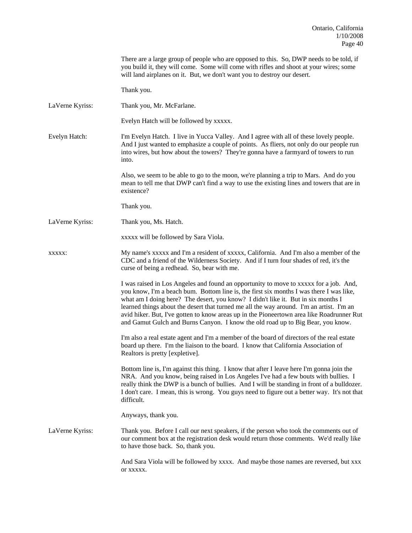There are a large group of people who are opposed to this. So, DWP needs to be told, if you build it, they will come. Some will come with rifles and shoot at your wires; some will land airplanes on it. But, we don't want you to destroy our desert. Thank you. LaVerne Kyriss: Thank you, Mr. McFarlane. Evelyn Hatch will be followed by xxxxx. Evelyn Hatch: I'm Evelyn Hatch. I live in Yucca Valley. And I agree with all of these lovely people. And I just wanted to emphasize a couple of points. As fliers, not only do our people run into wires, but how about the towers? They're gonna have a farmyard of towers to run into. Also, we seem to be able to go to the moon, we're planning a trip to Mars. And do you mean to tell me that DWP can't find a way to use the existing lines and towers that are in existence? Thank you. LaVerne Kyriss: Thank you, Ms. Hatch. xxxxx will be followed by Sara Viola. xxxxx: My name's xxxxx and I'm a resident of xxxxx, California. And I'm also a member of the CDC and a friend of the Wilderness Society. And if I turn four shades of red, it's the curse of being a redhead. So, bear with me. I was raised in Los Angeles and found an opportunity to move to xxxxx for a job. And, you know, I'm a beach bum. Bottom line is, the first six months I was there I was like, what am I doing here? The desert, you know? I didn't like it. But in six months I learned things about the desert that turned me all the way around. I'm an artist. I'm an avid hiker. But, I've gotten to know areas up in the Pioneertown area like Roadrunner Rut and Gamut Gulch and Burns Canyon. I know the old road up to Big Bear, you know. I'm also a real estate agent and I'm a member of the board of directors of the real estate board up there. I'm the liaison to the board. I know that California Association of Realtors is pretty [expletive]. Bottom line is, I'm against this thing. I know that after I leave here I'm gonna join the NRA. And you know, being raised in Los Angeles I've had a few bouts with bullies. I really think the DWP is a bunch of bullies. And I will be standing in front of a bulldozer. I don't care. I mean, this is wrong. You guys need to figure out a better way. It's not that difficult. Anyways, thank you. LaVerne Kyriss: Thank you. Before I call our next speakers, if the person who took the comments out of our comment box at the registration desk would return those comments. We'd really like to have those back. So, thank you. And Sara Viola will be followed by xxxx. And maybe those names are reversed, but xxx or xxxxx.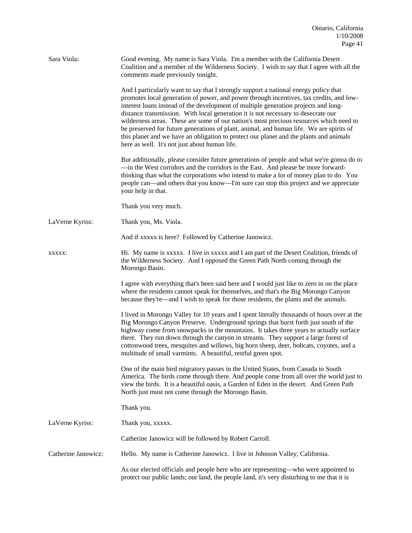| Sara Viola:         | Good evening. My name is Sara Viola. I'm a member with the California Desert<br>Coalition and a member of the Wilderness Society. I wish to say that I agree with all the<br>comments made previously tonight.                                                                                                                                                                                                                                                                                                                                                                                                                                                                              |
|---------------------|---------------------------------------------------------------------------------------------------------------------------------------------------------------------------------------------------------------------------------------------------------------------------------------------------------------------------------------------------------------------------------------------------------------------------------------------------------------------------------------------------------------------------------------------------------------------------------------------------------------------------------------------------------------------------------------------|
|                     | And I particularly want to say that I strongly support a national energy policy that<br>promotes local generation of power, and power through incentives, tax credits, and low-<br>interest loans instead of the development of multiple generation projects and long-<br>distance transmission. With local generation it is not necessary to desecrate our<br>wilderness areas. These are some of our nation's most precious resources which need to<br>be preserved for future generations of plant, animal, and human life. We are spirits of<br>this planet and we have an obligation to protect our planet and the plants and animals<br>here as well. It's not just about human life. |
|                     | But additionally, please consider future generations of people and what we're gonna do to<br>—in the West corridors and the corridors in the East. And please be more forward-<br>thinking than what the corporations who intend to make a lot of money plan to do. You<br>people can—and others that you know—I'm sure can stop this project and we appreciate<br>your help in that.                                                                                                                                                                                                                                                                                                       |
|                     | Thank you very much.                                                                                                                                                                                                                                                                                                                                                                                                                                                                                                                                                                                                                                                                        |
| LaVerne Kyriss:     | Thank you, Ms. Viola.                                                                                                                                                                                                                                                                                                                                                                                                                                                                                                                                                                                                                                                                       |
|                     | And if xxxxx is here? Followed by Catherine Janowicz.                                                                                                                                                                                                                                                                                                                                                                                                                                                                                                                                                                                                                                       |
| XXXXX:              | Hi. My name is xxxxx. I live in xxxxx and I am part of the Desert Coalition, friends of<br>the Wilderness Society. And I opposed the Green Path North coming through the<br>Morongo Basin.                                                                                                                                                                                                                                                                                                                                                                                                                                                                                                  |
|                     | I agree with everything that's been said here and I would just like to zero in on the place<br>where the residents cannot speak for themselves, and that's the Big Morongo Canyon<br>because they're—and I wish to speak for those residents, the plants and the animals.                                                                                                                                                                                                                                                                                                                                                                                                                   |
|                     | I lived in Morongo Valley for 10 years and I spent literally thousands of hours over at the<br>Big Morongo Canyon Preserve. Underground springs that burst forth just south of the<br>highway come from snowpacks in the mountains. It takes three years to actually surface<br>there. They run down through the canyon in streams. They support a large forest of<br>cottonwood trees, mesquites and willows, big horn sheep, deer, bobcats, coyotes, and a<br>multitude of small varmints. A beautiful, restful green spot.                                                                                                                                                               |
|                     | One of the main bird migratory passes in the United States, from Canada to South<br>America. The birds come through there. And people come from all over the world just to<br>view the birds. It is a beautiful oasis, a Garden of Eden in the desert. And Green Path<br>North just must not come through the Morongo Basin.                                                                                                                                                                                                                                                                                                                                                                |
|                     | Thank you.                                                                                                                                                                                                                                                                                                                                                                                                                                                                                                                                                                                                                                                                                  |
| LaVerne Kyriss:     | Thank you, xxxxx.                                                                                                                                                                                                                                                                                                                                                                                                                                                                                                                                                                                                                                                                           |
|                     | Catherine Janowicz will be followed by Robert Carroll.                                                                                                                                                                                                                                                                                                                                                                                                                                                                                                                                                                                                                                      |
| Catherine Janowicz: | Hello. My name is Catherine Janowicz. I live in Johnson Valley, California.                                                                                                                                                                                                                                                                                                                                                                                                                                                                                                                                                                                                                 |
|                     | As our elected officials and people here who are representing—who were appointed to<br>protect our public lands; our land, the people land, it's very disturbing to me that it is                                                                                                                                                                                                                                                                                                                                                                                                                                                                                                           |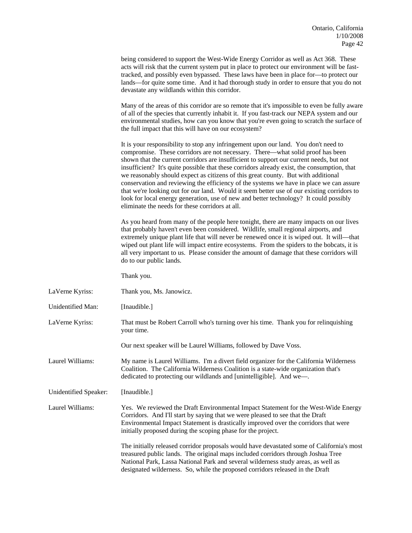|                       | being considered to support the West-Wide Energy Corridor as well as Act 368. These<br>acts will risk that the current system put in place to protect our environment will be fast-<br>tracked, and possibly even bypassed. These laws have been in place for—to protect our<br>lands—for quite some time. And it had thorough study in order to ensure that you do not<br>devastate any wildlands within this corridor.                                                                                                                                                                                                                                                                                                                                                                  |
|-----------------------|-------------------------------------------------------------------------------------------------------------------------------------------------------------------------------------------------------------------------------------------------------------------------------------------------------------------------------------------------------------------------------------------------------------------------------------------------------------------------------------------------------------------------------------------------------------------------------------------------------------------------------------------------------------------------------------------------------------------------------------------------------------------------------------------|
|                       | Many of the areas of this corridor are so remote that it's impossible to even be fully aware<br>of all of the species that currently inhabit it. If you fast-track our NEPA system and our<br>environmental studies, how can you know that you're even going to scratch the surface of<br>the full impact that this will have on our ecosystem?                                                                                                                                                                                                                                                                                                                                                                                                                                           |
|                       | It is your responsibility to stop any infringement upon our land. You don't need to<br>compromise. These corridors are not necessary. There—what solid proof has been<br>shown that the current corridors are insufficient to support our current needs, but not<br>insufficient? It's quite possible that these corridors already exist, the consumption, that<br>we reasonably should expect as citizens of this great county. But with additional<br>conservation and reviewing the efficiency of the systems we have in place we can assure<br>that we're looking out for our land. Would it seem better use of our existing corridors to<br>look for local energy generation, use of new and better technology? It could possibly<br>eliminate the needs for these corridors at all. |
|                       | As you heard from many of the people here tonight, there are many impacts on our lives<br>that probably haven't even been considered. Wildlife, small regional airports, and<br>extremely unique plant life that will never be renewed once it is wiped out. It will—that<br>wiped out plant life will impact entire ecosystems. From the spiders to the bobcats, it is<br>all very important to us. Please consider the amount of damage that these corridors will<br>do to our public lands.                                                                                                                                                                                                                                                                                            |
|                       | Thank you.                                                                                                                                                                                                                                                                                                                                                                                                                                                                                                                                                                                                                                                                                                                                                                                |
| LaVerne Kyriss:       | Thank you, Ms. Janowicz.                                                                                                                                                                                                                                                                                                                                                                                                                                                                                                                                                                                                                                                                                                                                                                  |
| Unidentified Man:     | [Inaudible.]                                                                                                                                                                                                                                                                                                                                                                                                                                                                                                                                                                                                                                                                                                                                                                              |
| LaVerne Kyriss:       | That must be Robert Carroll who's turning over his time. Thank you for relinquishing<br>your time.                                                                                                                                                                                                                                                                                                                                                                                                                                                                                                                                                                                                                                                                                        |
|                       | Our next speaker will be Laurel Williams, followed by Dave Voss.                                                                                                                                                                                                                                                                                                                                                                                                                                                                                                                                                                                                                                                                                                                          |
| Laurel Williams:      | My name is Laurel Williams. I'm a divert field organizer for the California Wilderness<br>Coalition. The California Wilderness Coalition is a state-wide organization that's<br>dedicated to protecting our wildlands and [unintelligible]. And we-                                                                                                                                                                                                                                                                                                                                                                                                                                                                                                                                       |
| Unidentified Speaker: | [Inaudible.]                                                                                                                                                                                                                                                                                                                                                                                                                                                                                                                                                                                                                                                                                                                                                                              |
| Laurel Williams:      | Yes. We reviewed the Draft Environmental Impact Statement for the West-Wide Energy<br>Corridors. And I'll start by saying that we were pleased to see that the Draft<br>Environmental Impact Statement is drastically improved over the corridors that were<br>initially proposed during the scoping phase for the project.                                                                                                                                                                                                                                                                                                                                                                                                                                                               |
|                       | The initially released corridor proposals would have devastated some of California's most<br>treasured public lands. The original maps included corridors through Joshua Tree<br>National Park, Lassa National Park and several wilderness study areas, as well as                                                                                                                                                                                                                                                                                                                                                                                                                                                                                                                        |

designated wilderness. So, while the proposed corridors released in the Draft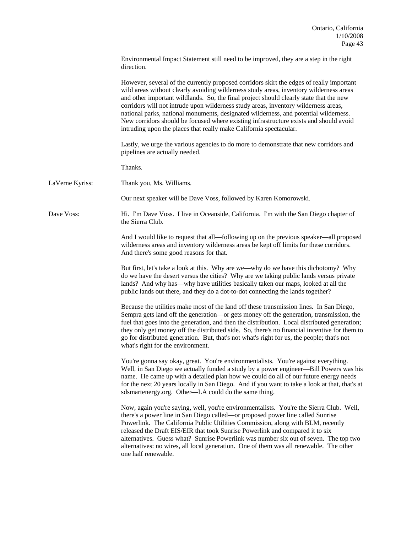|                 | Environmental Impact Statement still need to be improved, they are a step in the right<br>direction.                                                                                                                                                                                                                                                                                                                                                                                                                                                                                                                       |
|-----------------|----------------------------------------------------------------------------------------------------------------------------------------------------------------------------------------------------------------------------------------------------------------------------------------------------------------------------------------------------------------------------------------------------------------------------------------------------------------------------------------------------------------------------------------------------------------------------------------------------------------------------|
|                 | However, several of the currently proposed corridors skirt the edges of really important<br>wild areas without clearly avoiding wilderness study areas, inventory wilderness areas<br>and other important wildlands. So, the final project should clearly state that the new<br>corridors will not intrude upon wilderness study areas, inventory wilderness areas,<br>national parks, national monuments, designated wilderness, and potential wilderness.<br>New corridors should be focused where existing infrastructure exists and should avoid<br>intruding upon the places that really make California spectacular. |
|                 | Lastly, we urge the various agencies to do more to demonstrate that new corridors and<br>pipelines are actually needed.                                                                                                                                                                                                                                                                                                                                                                                                                                                                                                    |
|                 | Thanks.                                                                                                                                                                                                                                                                                                                                                                                                                                                                                                                                                                                                                    |
| LaVerne Kyriss: | Thank you, Ms. Williams.                                                                                                                                                                                                                                                                                                                                                                                                                                                                                                                                                                                                   |
|                 | Our next speaker will be Dave Voss, followed by Karen Komorowski.                                                                                                                                                                                                                                                                                                                                                                                                                                                                                                                                                          |
| Dave Voss:      | Hi. I'm Dave Voss. I live in Oceanside, California. I'm with the San Diego chapter of<br>the Sierra Club.                                                                                                                                                                                                                                                                                                                                                                                                                                                                                                                  |
|                 | And I would like to request that all—following up on the previous speaker—all proposed<br>wilderness areas and inventory wilderness areas be kept off limits for these corridors.<br>And there's some good reasons for that.                                                                                                                                                                                                                                                                                                                                                                                               |
|                 | But first, let's take a look at this. Why are we-why do we have this dichotomy? Why<br>do we have the desert versus the cities? Why are we taking public lands versus private<br>lands? And why has—why have utilities basically taken our maps, looked at all the<br>public lands out there, and they do a dot-to-dot connecting the lands together?                                                                                                                                                                                                                                                                      |
|                 | Because the utilities make most of the land off these transmission lines. In San Diego,<br>Sempra gets land off the generation—or gets money off the generation, transmission, the<br>fuel that goes into the generation, and then the distribution. Local distributed generation;<br>they only get money off the distributed side. So, there's no financial incentive for them to<br>go for distributed generation. But, that's not what's right for us, the people; that's not<br>what's right for the environment.                                                                                                      |
|                 | You're gonna say okay, great. You're environmentalists. You're against everything.<br>Well, in San Diego we actually funded a study by a power engineer—Bill Powers was his<br>name. He came up with a detailed plan how we could do all of our future energy needs<br>for the next 20 years locally in San Diego. And if you want to take a look at that, that's at<br>sdsmartenergy.org. Other—LA could do the same thing.                                                                                                                                                                                               |
|                 | Now, again you're saying, well, you're environmentalists. You're the Sierra Club. Well,<br>there's a power line in San Diego called-or proposed power line called Sunrise<br>Powerlink. The California Public Utilities Commission, along with BLM, recently<br>released the Draft EIS/EIR that took Sunrise Powerlink and compared it to six<br>alternatives. Guess what? Sunrise Powerlink was number six out of seven. The top two<br>alternatives: no wires, all local generation. One of them was all renewable. The other<br>one half renewable.                                                                     |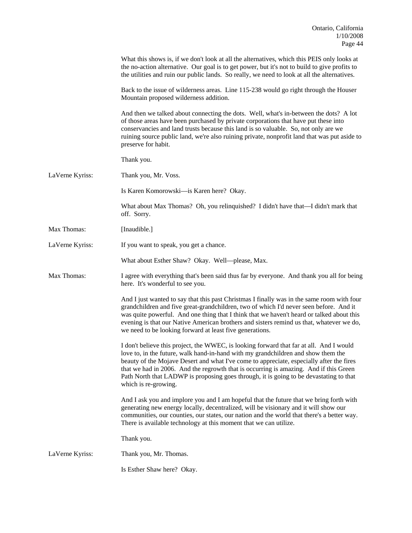|                 | What this shows is, if we don't look at all the alternatives, which this PEIS only looks at<br>the no-action alternative. Our goal is to get power, but it's not to build to give profits to<br>the utilities and ruin our public lands. So really, we need to look at all the alternatives.                                                                                                                                                                                        |
|-----------------|-------------------------------------------------------------------------------------------------------------------------------------------------------------------------------------------------------------------------------------------------------------------------------------------------------------------------------------------------------------------------------------------------------------------------------------------------------------------------------------|
|                 | Back to the issue of wilderness areas. Line 115-238 would go right through the Houser<br>Mountain proposed wilderness addition.                                                                                                                                                                                                                                                                                                                                                     |
|                 | And then we talked about connecting the dots. Well, what's in-between the dots? A lot<br>of those areas have been purchased by private corporations that have put these into<br>conservancies and land trusts because this land is so valuable. So, not only are we<br>ruining source public land, we're also ruining private, nonprofit land that was put aside to<br>preserve for habit.                                                                                          |
|                 | Thank you.                                                                                                                                                                                                                                                                                                                                                                                                                                                                          |
| LaVerne Kyriss: | Thank you, Mr. Voss.                                                                                                                                                                                                                                                                                                                                                                                                                                                                |
|                 | Is Karen Komorowski-is Karen here? Okay.                                                                                                                                                                                                                                                                                                                                                                                                                                            |
|                 | What about Max Thomas? Oh, you relinquished? I didn't have that—I didn't mark that<br>off. Sorry.                                                                                                                                                                                                                                                                                                                                                                                   |
| Max Thomas:     | [Inaudible.]                                                                                                                                                                                                                                                                                                                                                                                                                                                                        |
| LaVerne Kyriss: | If you want to speak, you get a chance.                                                                                                                                                                                                                                                                                                                                                                                                                                             |
|                 | What about Esther Shaw? Okay. Well-please, Max.                                                                                                                                                                                                                                                                                                                                                                                                                                     |
| Max Thomas:     | I agree with everything that's been said thus far by everyone. And thank you all for being<br>here. It's wonderful to see you.                                                                                                                                                                                                                                                                                                                                                      |
|                 | And I just wanted to say that this past Christmas I finally was in the same room with four<br>grandchildren and five great-grandchildren, two of which I'd never seen before. And it<br>was quite powerful. And one thing that I think that we haven't heard or talked about this<br>evening is that our Native American brothers and sisters remind us that, whatever we do,<br>we need to be looking forward at least five generations.                                           |
|                 | I don't believe this project, the WWEC, is looking forward that far at all. And I would<br>love to, in the future, walk hand-in-hand with my grandchildren and show them the<br>beauty of the Mojave Desert and what I've come to appreciate, especially after the fires<br>that we had in 2006. And the regrowth that is occurring is amazing. And if this Green<br>Path North that LADWP is proposing goes through, it is going to be devastating to that<br>which is re-growing. |
|                 | And I ask you and implore you and I am hopeful that the future that we bring forth with<br>generating new energy locally, decentralized, will be visionary and it will show our<br>communities, our counties, our states, our nation and the world that there's a better way.<br>There is available technology at this moment that we can utilize.                                                                                                                                  |
|                 | Thank you.                                                                                                                                                                                                                                                                                                                                                                                                                                                                          |
| LaVerne Kyriss: | Thank you, Mr. Thomas.                                                                                                                                                                                                                                                                                                                                                                                                                                                              |
|                 | Is Esther Shaw here? Okay.                                                                                                                                                                                                                                                                                                                                                                                                                                                          |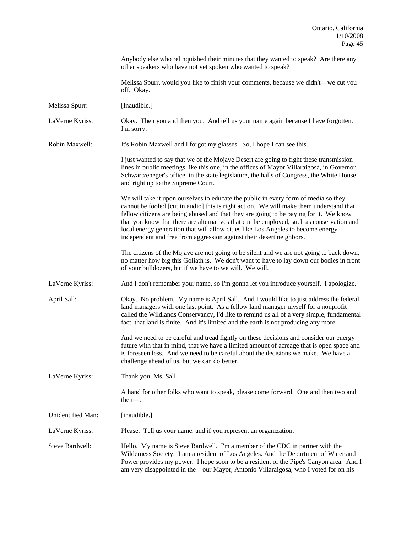Anybody else who relinquished their minutes that they wanted to speak? Are there any other speakers who have not yet spoken who wanted to speak?

 Melissa Spurr, would you like to finish your comments, because we didn't—we cut you off. Okay.

Melissa Spurr: [Inaudible.]

LaVerne Kyriss: Okay. Then you and then you. And tell us your name again because I have forgotten. I'm sorry.

Robin Maxwell: It's Robin Maxwell and I forgot my glasses. So, I hope I can see this.

 I just wanted to say that we of the Mojave Desert are going to fight these transmission lines in public meetings like this one, in the offices of Mayor Villaraigosa, in Governor Schwartzeneger's office, in the state legislature, the halls of Congress, the White House and right up to the Supreme Court.

 We will take it upon ourselves to educate the public in every form of media so they cannot be fooled [cut in audio] this is right action. We will make them understand that fellow citizens are being abused and that they are going to be paying for it. We know that you know that there are alternatives that can be employed, such as conservation and local energy generation that will allow cities like Los Angeles to become energy independent and free from aggression against their desert neighbors.

 The citizens of the Mojave are not going to be silent and we are not going to back down, no matter how big this Goliath is. We don't want to have to lay down our bodies in front of your bulldozers, but if we have to we will. We will.

LaVerne Kyriss: And I don't remember your name, so I'm gonna let you introduce yourself. I apologize.

April Sall: Okay. No problem. My name is April Sall. And I would like to just address the federal land managers with one last point. As a fellow land manager myself for a nonprofit called the Wildlands Conservancy, I'd like to remind us all of a very simple, fundamental fact, that land is finite. And it's limited and the earth is not producing any more.

> And we need to be careful and tread lightly on these decisions and consider our energy future with that in mind, that we have a limited amount of acreage that is open space and is foreseen less. And we need to be careful about the decisions we make. We have a challenge ahead of us, but we can do better.

LaVerne Kyriss: Thank you, Ms. Sall.

 A hand for other folks who want to speak, please come forward. One and then two and then—.

Unidentified Man: [inaudible.]

LaVerne Kyriss: Please. Tell us your name, and if you represent an organization.

Steve Bardwell: Hello. My name is Steve Bardwell. I'm a member of the CDC in partner with the Wilderness Society. I am a resident of Los Angeles. And the Department of Water and Power provides my power. I hope soon to be a resident of the Pipe's Canyon area. And I am very disappointed in the—our Mayor, Antonio Villaraigosa, who I voted for on his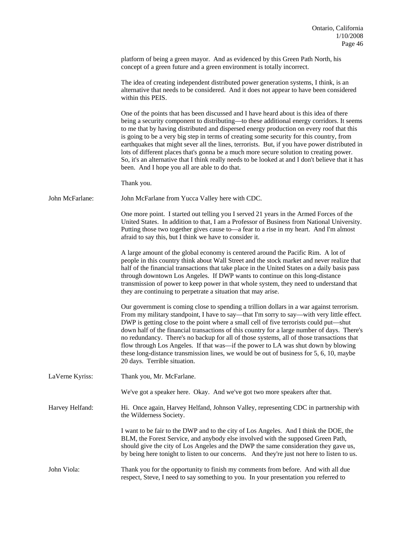platform of being a green mayor. And as evidenced by this Green Path North, his concept of a green future and a green environment is totally incorrect.

 The idea of creating independent distributed power generation systems, I think, is an alternative that needs to be considered. And it does not appear to have been considered within this PEIS.

 One of the points that has been discussed and I have heard about is this idea of there being a security component to distributing—to these additional energy corridors. It seems to me that by having distributed and dispersed energy production on every roof that this is going to be a very big step in terms of creating some security for this country, from earthquakes that might sever all the lines, terrorists. But, if you have power distributed in lots of different places that's gonna be a much more secure solution to creating power. So, it's an alternative that I think really needs to be looked at and I don't believe that it has been. And I hope you all are able to do that.

Thank you.

John McFarlane: John McFarlane from Yucca Valley here with CDC.

 One more point. I started out telling you I served 21 years in the Armed Forces of the United States. In addition to that, I am a Professor of Business from National University. Putting those two together gives cause to—a fear to a rise in my heart. And I'm almost afraid to say this, but I think we have to consider it.

 A large amount of the global economy is centered around the Pacific Rim. A lot of people in this country think about Wall Street and the stock market and never realize that half of the financial transactions that take place in the United States on a daily basis pass through downtown Los Angeles. If DWP wants to continue on this long-distance transmission of power to keep power in that whole system, they need to understand that they are continuing to perpetrate a situation that may arise.

Our government is coming close to spending a trillion dollars in a war against terrorism. From my military standpoint, I have to say—that I'm sorry to say—with very little effect. DWP is getting close to the point where a small cell of five terrorists could put—shut down half of the financial transactions of this country for a large number of days. There's no redundancy. There's no backup for all of those systems, all of those transactions that flow through Los Angeles. If that was—if the power to LA was shut down by blowing these long-distance transmission lines, we would be out of business for 5, 6, 10, maybe 20 days. Terrible situation.

LaVerne Kyriss: Thank you, Mr. McFarlane.

We've got a speaker here. Okay. And we've got two more speakers after that.

Harvey Helfand: Hi. Once again, Harvey Helfand, Johnson Valley, representing CDC in partnership with the Wilderness Society.

> I want to be fair to the DWP and to the city of Los Angeles. And I think the DOE, the BLM, the Forest Service, and anybody else involved with the supposed Green Path, should give the city of Los Angeles and the DWP the same consideration they gave us, by being here tonight to listen to our concerns. And they're just not here to listen to us.

John Viola: Thank you for the opportunity to finish my comments from before. And with all due respect, Steve, I need to say something to you. In your presentation you referred to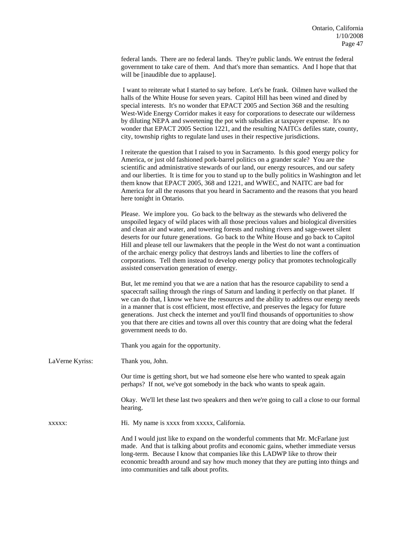federal lands. There are no federal lands. They're public lands. We entrust the federal government to take care of them. And that's more than semantics. And I hope that that will be [inaudible due to applause].

 I want to reiterate what I started to say before. Let's be frank. Oilmen have walked the halls of the White House for seven years. Capitol Hill has been wined and dined by special interests. It's no wonder that EPACT 2005 and Section 368 and the resulting West-Wide Energy Corridor makes it easy for corporations to desecrate our wilderness by diluting NEPA and sweetening the pot with subsidies at taxpayer expense. It's no wonder that EPACT 2005 Section 1221, and the resulting NAITCs defiles state, county, city, township rights to regulate land uses in their respective jurisdictions.

 I reiterate the question that I raised to you in Sacramento. Is this good energy policy for America, or just old fashioned pork-barrel politics on a grander scale? You are the scientific and administrative stewards of our land, our energy resources, and our safety and our liberties. It is time for you to stand up to the bully politics in Washington and let them know that EPACT 2005, 368 and 1221, and WWEC, and NAITC are bad for America for all the reasons that you heard in Sacramento and the reasons that you heard here tonight in Ontario.

 Please. We implore you. Go back to the beltway as the stewards who delivered the unspoiled legacy of wild places with all those precious values and biological diversities and clean air and water, and towering forests and rushing rivers and sage-sweet silent deserts for our future generations. Go back to the White House and go back to Capitol Hill and please tell our lawmakers that the people in the West do not want a continuation of the archaic energy policy that destroys lands and liberties to line the coffers of corporations. Tell them instead to develop energy policy that promotes technologically assisted conservation generation of energy.

 But, let me remind you that we are a nation that has the resource capability to send a spacecraft sailing through the rings of Saturn and landing it perfectly on that planet. If we can do that, I know we have the resources and the ability to address our energy needs in a manner that is cost efficient, most effective, and preserves the legacy for future generations. Just check the internet and you'll find thousands of opportunities to show you that there are cities and towns all over this country that are doing what the federal government needs to do.

Thank you again for the opportunity.

LaVerne Kyriss: Thank you, John.

 Our time is getting short, but we had someone else here who wanted to speak again perhaps? If not, we've got somebody in the back who wants to speak again.

 Okay. We'll let these last two speakers and then we're going to call a close to our formal hearing.

xxxxx: Hi. My name is xxxx from xxxxx, California.

And I would just like to expand on the wonderful comments that Mr. McFarlane just made. And that is talking about profits and economic gains, whether immediate versus long-term. Because I know that companies like this LADWP like to throw their economic breadth around and say how much money that they are putting into things and into communities and talk about profits.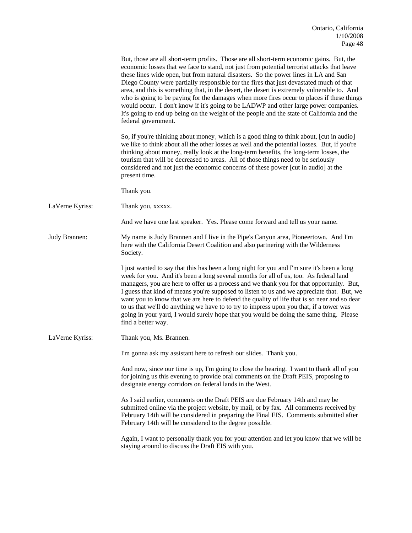|                 | But, those are all short-term profits. Those are all short-term economic gains. But, the<br>economic losses that we face to stand, not just from potential terrorist attacks that leave<br>these lines wide open, but from natural disasters. So the power lines in LA and San<br>Diego County were partially responsible for the fires that just devastated much of that<br>area, and this is something that, in the desert, the desert is extremely vulnerable to. And<br>who is going to be paying for the damages when more fires occur to places if these things<br>would occur. I don't know if it's going to be LADWP and other large power companies.<br>It's going to end up being on the weight of the people and the state of California and the<br>federal government. |
|-----------------|------------------------------------------------------------------------------------------------------------------------------------------------------------------------------------------------------------------------------------------------------------------------------------------------------------------------------------------------------------------------------------------------------------------------------------------------------------------------------------------------------------------------------------------------------------------------------------------------------------------------------------------------------------------------------------------------------------------------------------------------------------------------------------|
|                 | So, if you're thinking about money, which is a good thing to think about, [cut in audio]<br>we like to think about all the other losses as well and the potential losses. But, if you're<br>thinking about money, really look at the long-term benefits, the long-term losses, the<br>tourism that will be decreased to areas. All of those things need to be seriously<br>considered and not just the economic concerns of these power [cut in audio] at the<br>present time.                                                                                                                                                                                                                                                                                                     |
|                 | Thank you.                                                                                                                                                                                                                                                                                                                                                                                                                                                                                                                                                                                                                                                                                                                                                                         |
| LaVerne Kyriss: | Thank you, xxxxx.                                                                                                                                                                                                                                                                                                                                                                                                                                                                                                                                                                                                                                                                                                                                                                  |
|                 | And we have one last speaker. Yes. Please come forward and tell us your name.                                                                                                                                                                                                                                                                                                                                                                                                                                                                                                                                                                                                                                                                                                      |
| Judy Brannen:   | My name is Judy Brannen and I live in the Pipe's Canyon area, Pioneertown. And I'm<br>here with the California Desert Coalition and also partnering with the Wilderness<br>Society.                                                                                                                                                                                                                                                                                                                                                                                                                                                                                                                                                                                                |
|                 | I just wanted to say that this has been a long night for you and I'm sure it's been a long<br>week for you. And it's been a long several months for all of us, too. As federal land<br>managers, you are here to offer us a process and we thank you for that opportunity. But,<br>I guess that kind of means you're supposed to listen to us and we appreciate that. But, we<br>want you to know that we are here to defend the quality of life that is so near and so dear<br>to us that we'll do anything we have to to try to impress upon you that, if a tower was<br>going in your yard, I would surely hope that you would be doing the same thing. Please<br>find a better way.                                                                                            |
| LaVerne Kyriss: | Thank you, Ms. Brannen.                                                                                                                                                                                                                                                                                                                                                                                                                                                                                                                                                                                                                                                                                                                                                            |
|                 | I'm gonna ask my assistant here to refresh our slides. Thank you.                                                                                                                                                                                                                                                                                                                                                                                                                                                                                                                                                                                                                                                                                                                  |
|                 | And now, since our time is up, I'm going to close the hearing. I want to thank all of you<br>for joining us this evening to provide oral comments on the Draft PEIS, proposing to<br>designate energy corridors on federal lands in the West.                                                                                                                                                                                                                                                                                                                                                                                                                                                                                                                                      |
|                 | As I said earlier, comments on the Draft PEIS are due February 14th and may be<br>submitted online via the project website, by mail, or by fax. All comments received by<br>February 14th will be considered in preparing the Final EIS. Comments submitted after<br>February 14th will be considered to the degree possible.                                                                                                                                                                                                                                                                                                                                                                                                                                                      |
|                 | Again, I want to personally thank you for your attention and let you know that we will be<br>staying around to discuss the Draft EIS with you.                                                                                                                                                                                                                                                                                                                                                                                                                                                                                                                                                                                                                                     |